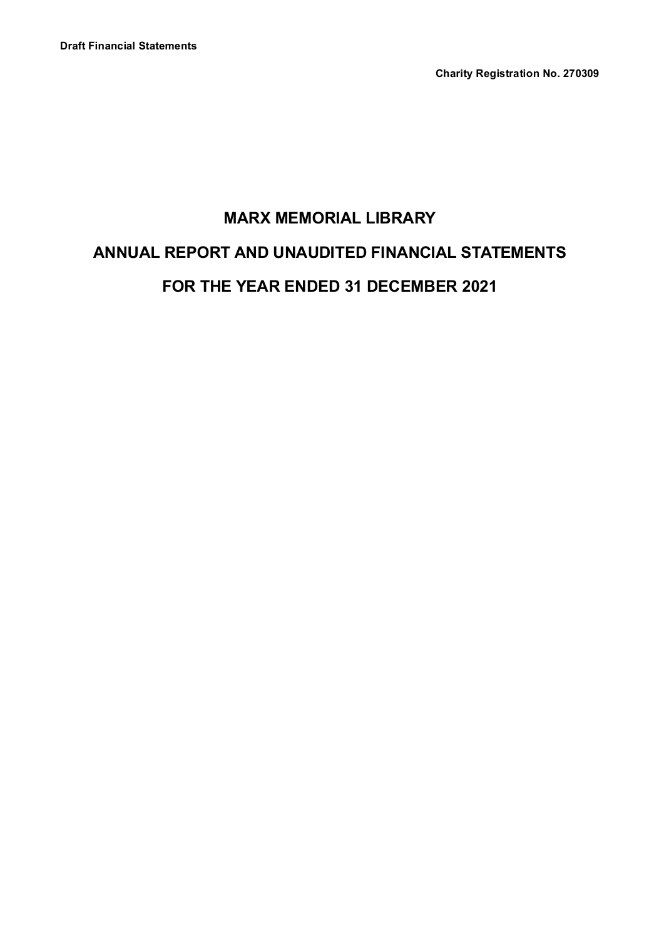**Charity Registration No. 270309**

# **MARX MEMORIAL LIBRARY ANNUAL REPORT AND UNAUDITED FINANCIAL STATEMENTS FOR THE YEAR ENDED 31 DECEMBER 2021**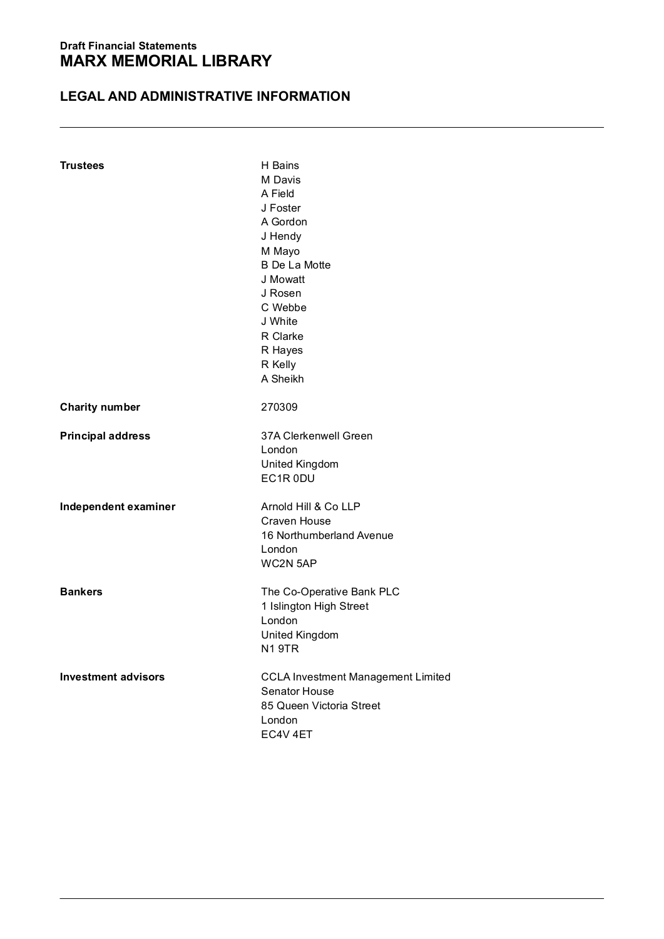# **LEGAL AND ADMINISTRATIVE INFORMATION**

| <b>Trustees</b>                                  | H Bains<br>M Davis<br>A Field<br>J Foster<br>A Gordon<br>J Hendy<br>M Mayo<br><b>B</b> De La Motte<br>J Mowatt<br>J Rosen<br>C Webbe<br>J White<br>R Clarke<br>R Hayes<br>R Kelly<br>A Sheikh |
|--------------------------------------------------|-----------------------------------------------------------------------------------------------------------------------------------------------------------------------------------------------|
| <b>Charity number</b>                            | 270309                                                                                                                                                                                        |
| <b>Principal address</b><br>Independent examiner | 37A Clerkenwell Green<br>London<br><b>United Kingdom</b><br>EC1R 0DU<br>Arnold Hill & Co LLP<br>Craven House<br>16 Northumberland Avenue<br>London                                            |
| <b>Bankers</b>                                   | WC2N 5AP<br>The Co-Operative Bank PLC<br>1 Islington High Street<br>London<br>United Kingdom<br><b>N1 9TR</b>                                                                                 |
| <b>Investment advisors</b>                       | CCLA Investment Management Limited<br>Senator House<br>85 Queen Victoria Street<br>London<br>FC4V 4FT                                                                                         |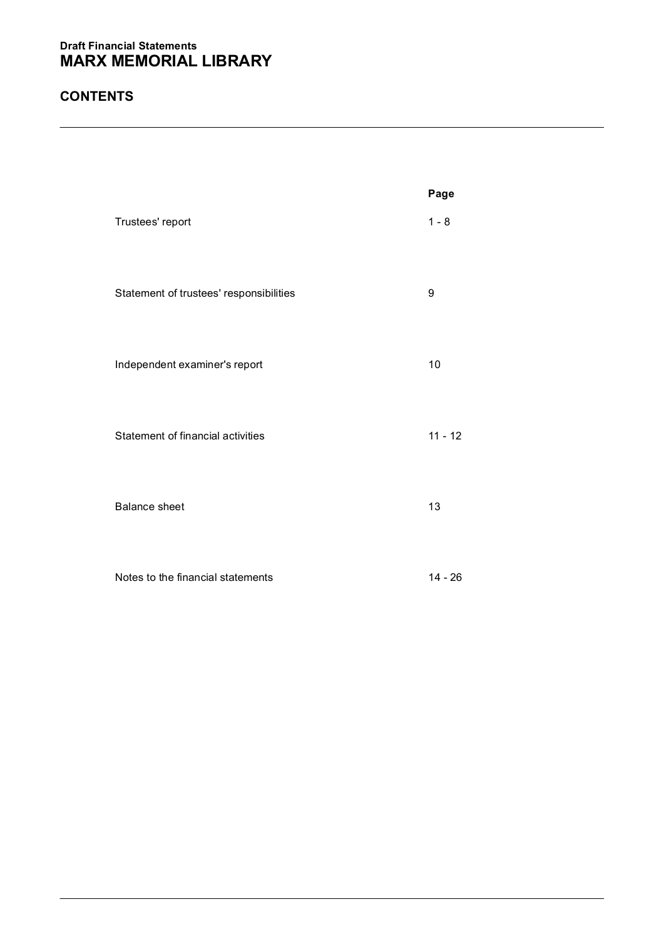# **CONTENTS**

|                                         | Page      |
|-----------------------------------------|-----------|
| Trustees' report                        | $1 - 8$   |
| Statement of trustees' responsibilities | 9         |
| Independent examiner's report           | 10        |
| Statement of financial activities       | $11 - 12$ |
| Balance sheet                           | 13        |
| Notes to the financial statements       | $14 - 26$ |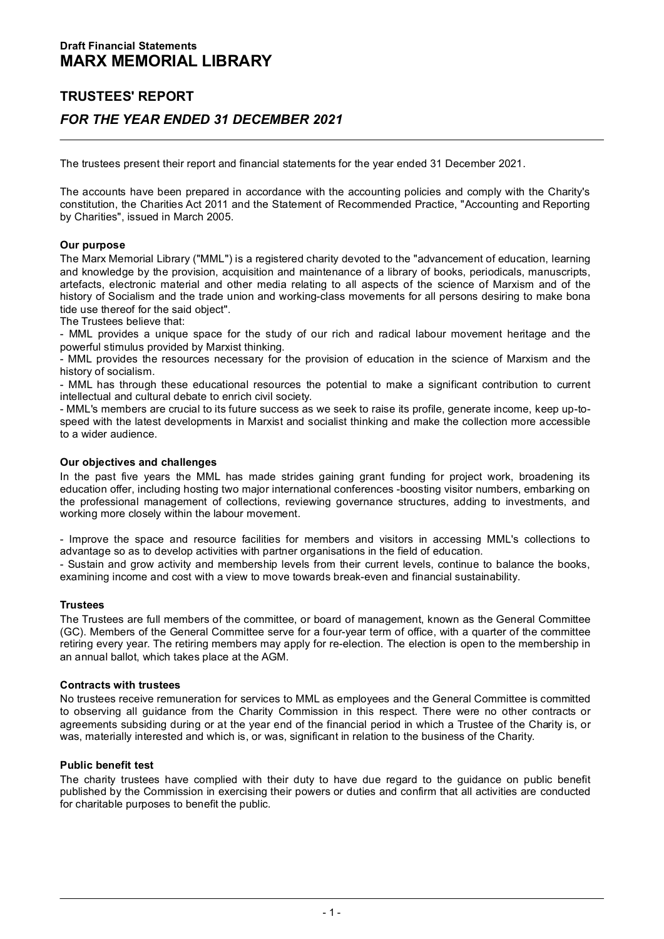# **TRUSTEES' REPORT**  *FOR THE YEAR ENDED 31 DECEMBER 2021*

The trustees present their report and financial statements for the year ended 31 December 2021.

The accounts have been prepared in accordance with the accounting policies and comply with the Charity's<br>constitution, the Charities Act 2011 and the Statement of Recommended Practice, "Accounting and Reporting<br>by Charitie

**Our purpose**<br>The Marx Memorial Library ("MML") is a registered charity devoted to the "advancement of education, learning and knowledge by the provision, acquisition and maintenance of a library of books, periodicals, manuscripts, artefacts, electronic material and other media relating to all aspects of the science of Marxism and of the history of Socialism and the trade union and working-class movements for all persons desiring to make bona tide use thereof for the said object".

The Trustees believe that:

- MML provides a unique space for the study of our rich and radical labour movement heritage and the powerful stimulus provided by Marxist thinking.

- MML provides the resources necessary for the provision of education in the science of Marxism and the history of socialism.

- MML has through these educational resources the potential to make a significant contribution to current intellectual and cultural debate to enrich civil society.

- MML's members are crucial to its future success as we seek to raise its profile, generate income, keep up-to-<br>speed with the latest developments in Marxist and socialist thinking and make the collection more accessible to a wider audience.

**Our objectives and challenges**<br>In the past five years the MML has made strides gaining grant funding for project work, broadening its education offer, including hosting two major international conferences -boosting visitor numbers, embarking on the professional management of collections, reviewing governance structures, adding to investments, and working more closely within the labour movement.

- Improve the space and resource facilities for members and visitors in accessing MML's collections to advantage so as to develop activities with partner organisations in the field of education.

- Sustain and grow activity and membership levels from their current levels, continue to balance the books, examining income and cost with a view to move towards break-even and financial sustainability.

# **Trustees**

The Trustees are full members of the committee, or board of management, known as the General Committee (GC). Members of the General Committee serve for a four-year term of office, with a quarter of the committee retiring every year. The retiring members may apply for re-election. The election is open to the membership in<br>an annual ballot, which takes place at the AGM.

# **Contracts with trustees**

Contracts with trustees<br>No trustees receive remuneration for services to MML as employees and the General Committee is committed<br>to observing all guidance from the Charity Commission in this respect. There were no other co agreements subsiding during or at the year end of the financial period in which a Trustee of the Charity is, or was, materially interested and which is, or was, significant in relation to the business of the Charity.

# **Public benefit test**

The charity trustees have complied with their duty to have due regard to the guidance on public benefit published by the Commission in exercising their powers or duties and confirm that all activities are conducted for charitable purposes to benefit the public.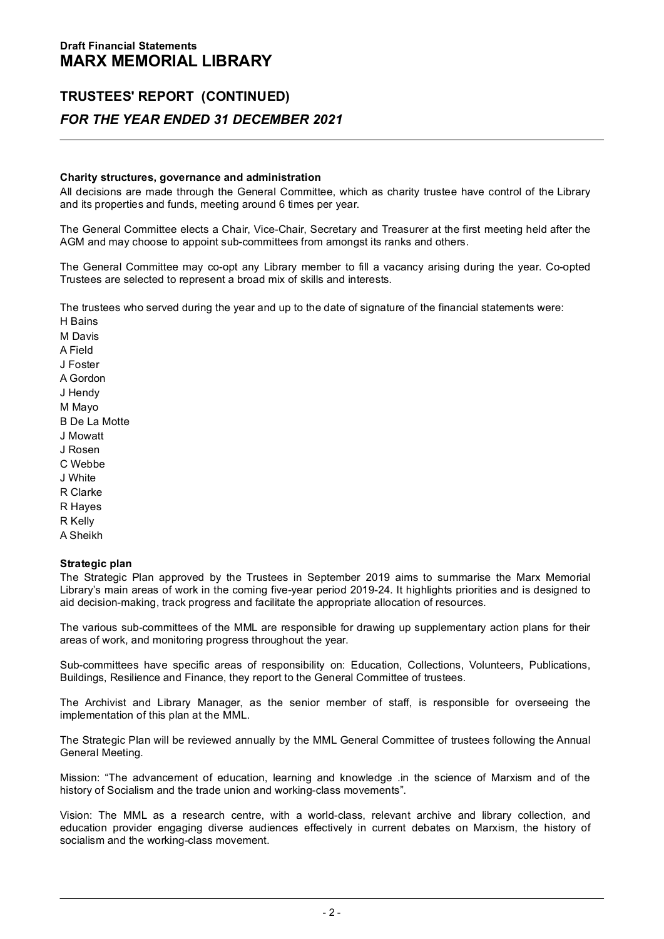# **Charity structures, governance and administration**

All decisions are made through the General Committee, which as charity trustee have control of the Library and its properties and funds, meeting around 6 times per year.

The General Committee elects a Chair, Vice-Chair, Secretary and Treasurer at the first meeting held after the AGM and may choose to appoint sub-committees from amongst its ranks and others.

The General Committee may co-opt any Library member to fill a vacancy arising during the year. Co-opted Trustees are selected to represent a broad mix of skills and interests.

The trustees who served during the year and up to the date of signature of the financial statements were:

H Bains M Davis A Field J Foster A Gordon J Hendy M Mayo B De La Motte J Mowatt J Rosen C Webbe J White R Clarke R Hayes R Kelly A Sheikh

# **Strategic plan**

The Strategic Plan approved by the Trustees in September 2019 aims to summarise the Marx Memorial Library's main areas of work in the coming five-year period 2019-24. It highlights priorities and is designed to aid decision-making, track progress and facilitate the appropriate allocation of resources.

The various sub-committees of the MML are responsible for drawing up supplementary action plans for their areas of work, and monitoring progress throughout the year.

Sub-committees have specific areas of responsibility on: Education, Collections, Volunteers, Publications, Buildings, Resilience and Finance, they report to the General Committee of trustees.

The Archivist and Library Manager, as the senior member of staff, is responsible for overseeing the implementation of this plan at the MML.

The Strategic Plan will be reviewed annually by the MML General Committee of trustees following the Annual General Meeting.

Mission: "The advancement of education, learning and knowledge .in the science of Marxism and of the history of Socialism and the trade union and working-class movements".

Vision: The MML as a research centre, with a world-class, relevant archive and library collection, and<br>education provider engaging diverse audiences effectively in current debates on Marxism, the history of<br>socialism and t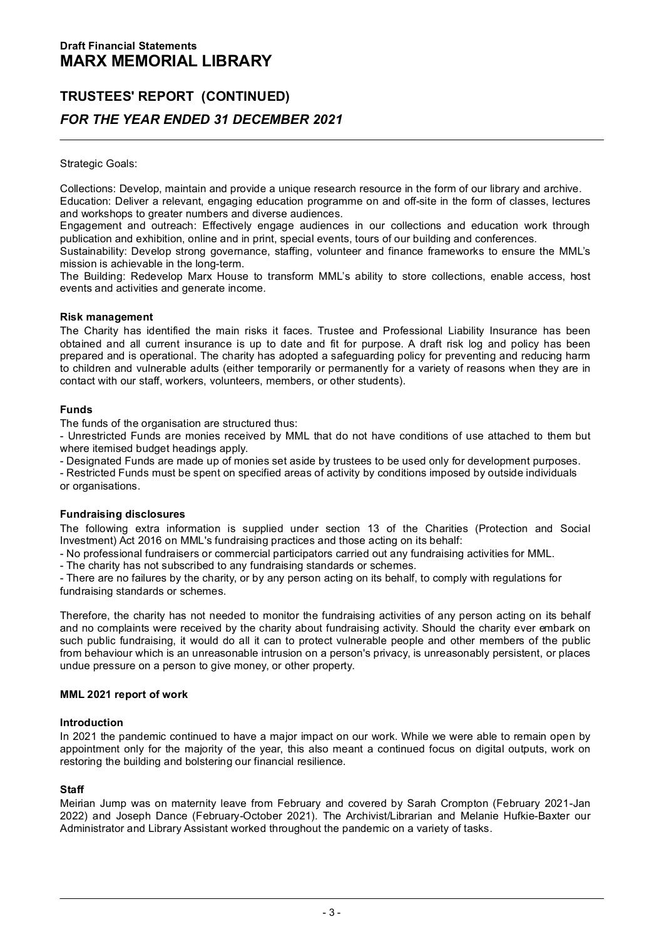# Strategic Goals:

Collections: Develop, maintain and provide a unique research resource in the form of our library and archive.

Education: Deliver a relevant, engaging education programme on and off-site in the form of classes, lectures and workshops to greater numbers and diverse audiences.

Engagement and outreach: Effectively engage audiences in our collections and education work through publication and exhibition, online and in print, special events, tours of our building and conferences.

Sustainability: Develop strong governance, staffing, volunteer and finance frameworks to ensure the MML's mission is achievable in the long-term.

The Building: Redevelop Marx House to transform MML's ability to store collections, enable access, host events and activities and generate income.

# **Risk management**

The Charity has identified the main risks it faces. Trustee and Professional Liability Insurance has been obtained and all current insurance is up to date and fit for purpose. A draft risk log and policy has been prepared and is operational. The charity has adopted a safeguarding policy for preventing and reducing harm to children and vulnerable adults (either temporarily or permanently for a variety of reasons when they are in contact with our staff, workers, volunteers, members, or other students).

# **Funds**

The funds of the organisation are structured thus:

- Unrestricted Funds are monies received by MML that do not have conditions of use attached to them but<br>where itemised budget headings apply. - Unrestricted Funds are monies received by MML that do not have conditions of use attached to them but<br>where itemised budget headings apply.<br>- Designated Funds are made up of monies set aside by trustees to be used only f

# **Fundraising disclosures**

The following extra information is supplied under section 13 of the Charities (Protection and Social Investment) Act 2016 on MML's fundraising practices and those acting on its behalf: The following extra information is supplied under section 13 of the Charities (Protection and Schware Schemesters or commercial participators carried out any fundraising activities for MML.<br>- No professional fundraisiers o

- The charity has not subscribed to any fundraising standards or schemes.<br>- There are no failures by the charity, or by any person acting on its behalf, to comply with regulations for fundraising standards or schemes.

Therefore, the charity has not needed to monitor the fundraising activities of any person acting on its behalf and no complaints were received by the charity about fundraising activity. Should the charity ever embark on and no complaints were received by the charity about fundraising activity. Should the charity ever embark on<br>such public fundraising, it would do all it can to protect vulnerable people and other members of the public<br>from

# **MML 2021 report of work**

# **Introduction**

In 2021 the pandemic continued to have a major impact on our work. While we were able to remain open by appointment only for the majority of the year, this also meant a continued focus on digital outputs, work on restoring the building and bolstering our financial resilience.

# **Staff**

Meirian Jump was on maternity leave from February and covered by Sarah Crompton (February 2021-Jan 2022) and Joseph Dance (February-October 2021). The Archivist/Librarian and Melanie Hufkie-Baxter our Administrator and Library Assistant worked throughout the pandemic on a variety of tasks.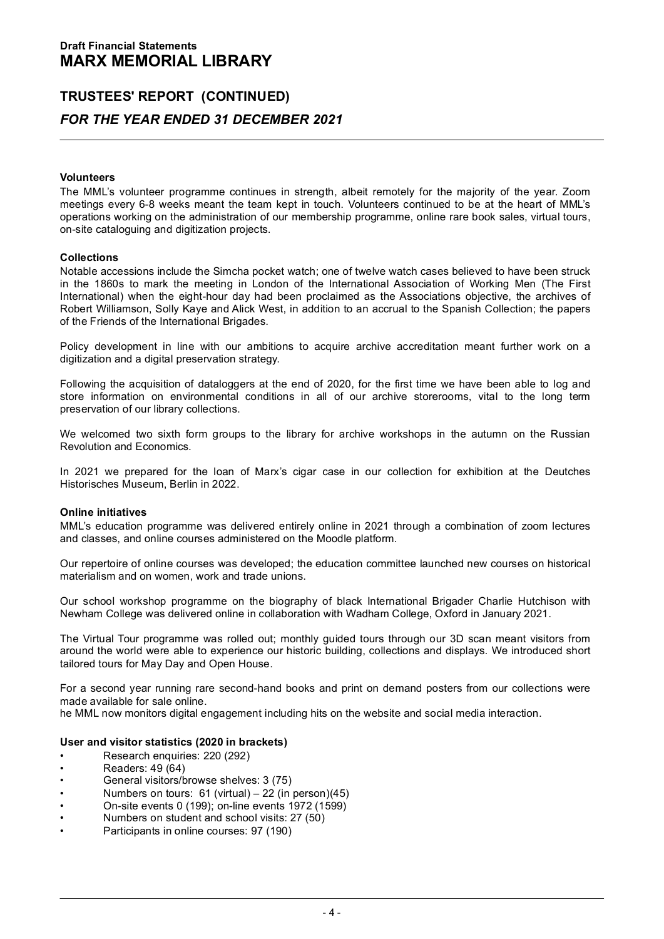# **Volunteers**

The MML's volunteer programme continues in strength, albeit remotely for the majority of the year. Zoom meetings every 6-8 weeks meant the team kept in touch. Volunteers continued to be at the heart of MML's operations working on the administration of our membership programme, online rare book sales, virtual tours, on-site cataloguing and digitization projects.

**Collections**<br>Notable accessions include the Simcha pocket watch; one of twelve watch cases believed to have been struck in the 1860s to mark the meeting in London of the International Association of Working Men (The First International) when the eight-hour day had been proclaimed as the Associations objective, the archives of Robert Williamson, Solly Kaye and Alick West, in addition to an accrual to the Spanish Collection; the papers of the Friends of the International Brigades.

Policy development in line with our ambitions to acquire archive accreditation meant further work on a digitization and a digital preservation strategy.

Following the acquisition of dataloggers at the end of 2020, for the first time we have been able to log and store information on environmental conditions in all of our archive storerooms, vital to the long term preservation of our library collections.

We welcomed two sixth form groups to the library for archive workshops in the autumn on the Russian Revolution and Economics.

In 2021 we prepared for the loan of Marx's cigar case in our collection for exhibition at the Deutches Historisches Museum, Berlin in 2022.

# **Online initiatives**

MML's education programme was delivered entirely online in 2021 through a combination of zoom lectures<br>and classes, and online courses administered on the Moodle platform.

Our repertoire of online courses was developed; the education committee launched new courses on historical materialism and on women, work and trade unions.

Our school workshop programme on the biography of black International Brigader Charlie Hutchison with Newham College was delivered online in collaboration with Wadham College, Oxford in January 2021.

The Virtual Tour programme was rolled out; monthly guided tours through our 3D scan meant visitors from around were able to experience our historic building, collections and displays. We introduced short tailored tours for May Day and Open House.

For a second year running rare second-hand books and print on demand posters from our collections were<br>made available for sale online.

he MML now monitors digital engagement including hits on the website and social media interaction.

# **User and visitor statistics (2020 in brackets)**<br>
• Research enquiries: 220 (292)<br>
• Readers: 49 (64)<br>
• Readers: 49 (64)<br>
• Readers: 49 (64)

- 
- 
- Research enquiries: 220 (292)<br>• Readers: 49 (64)<br>• General visitors/browse shelves: 3 (75)
- Readers: 49 (64)<br>• General visitors/browse shelves: 3 (75)<br>• Numbers on tours: 61 (virtual) 22 (in person)(45)<br>• On-site events 0 (199); on-line events 1972 (1599)<br>•
- On-site events 0 (199); on-line events 1972 (1599)<br>Numbers on student and school visits: 27 (50)
- 
- Participants in online courses: 97 (190)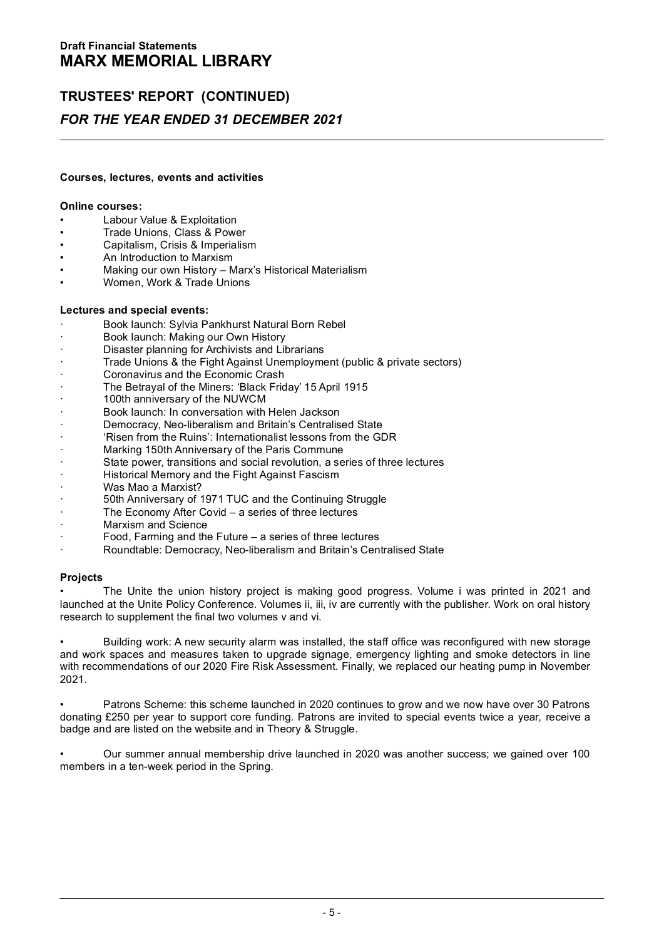# **Courses, lectures, events and activities**

# **Online courses:**

- Labour Value & Exploitation
- 
- **Online courses:**<br>• Labour Value & Exploitation<br>• Trade Unions, Class & Power<br>• Capitalism, Crisis & Morperialism<br>• Capitalism, Crisis & Morperialism • Capitalism, Crisis & Imperialism<br>• An Introduction to Marxism
- 
- Capitalism, Crisis & Imperialism<br>• An Introduction to Marxism<br>• Making our own History Marx's Historical Materialism<br>• Women, Work & Trade Unions
- 

# **Lectures and special events:**

- · Book launch: Sylvia Pankhurst Natural Born Rebel · Book launch: Making our Own History
- 
- · Book launch: Sylvia Pankhurst Natural Born Reb<br>Book launch: Making our Own History<br>Disaster planning for Archivists and Librarians<br>Treds Llaines 8 the Fight Against Llagraphyment
- · Book launch: Making our Own History<br>· Oisaster planning for Archivists and Librarians<br>· Trade Unions & the Fight Against Unemployment (public & private sectors) Disaster planning for Archivists and Librar<br>Trade Unions & the Fight Against Unempl<br>Coronavirus and the Economic Crash<br>The Betrausl of the Minemy 'Block Frider' Trade Unions & the Fight Against Unemployment (public &<br>Coronavirus and the Economic Crash<br>The Betrayal of the Miners: 'Black Friday' 15 April 1915<br>190th oppium pay of the NUMCM
- 
- Coronavirus and the Economic Crash<br>The Betrayal of the Miners: 'Black Friday' 15 April 19<br>100th anniversary of the NUWCM<br>Book launch: In conversation with Helen Jackson
- 
- 100th anniversary of the NUWCM<br>Book launch: In conversation with Helen Jackson<br>Democracy, Neo-liberalism and Britain's Centralised State
- 
- From the Ruinstein with Helen Jackson<br>
Personarcy, Neo-Irberalism and Britain's Centralised State<br>
Yisen from the Ruins': Internationalist lessons from the GDR<br>
Marking 150th Anniversary of the Paris Commune<br>
Anniversary o
- 
- Marking 150th Anniversary of the Paris Commune<br>State power, transitions and social revolution, a series of three lectures **FRANCIST AMELIA MEMORY OF AGAINST AGAINST AGAINST AGAINST AGAINST AGAINST AGAINST AGAINST AGAINST AGAINST AGAINST AGAINST AGAINST AGAINST AGAINST AGAINST AGAINST AGAINST AGAINST AGAINST AGAINST AGAINST AGAINST AGAINST AGA**
- 
- 
- · Historical Memory and the Fight Against Fascism<br>· Solh Anniversary of 1971 TUC and the Continuing Struggle<br>The Economy After Covid a series of three lectures<br>· Marxism and Science<br>· Economy After Covid a series of th
- The Economy After Covid a series of three lectures<br>Marxism and Science<br>Food, Farming and the Future a series of three lectures
- 
- 
- · Roundtable: Democracy, Neo-liberalism and Britain's Centralised State

# **Projects**

• The Unite the union history project is making good progress. Volume i was printed in 2021 and launched at the Unite Policy Conference. Volumes ii, iii, iv are currently with the publisher. Work on oral history research to supplement the final two volumes v and vi.

· Building work: A new security alarm was installed, the staff office was reconfigured with new storage<br>and work spaces and measures taken to upgrade signage, emergency lighting and smoke detectors in line<br>with recommendat

• Patrons Scheme: this scheme launched in 2020 continues to grow and we now have over 30 Patrons donating £250 per year to support core funding. Patrons are invited to special events twice a year, receive a badge and are listed on the website and in Theory & Struggle.

• Our summer annual membership drive launched in 2020 was another success; we gained over 100 members in a ten-week period in the Spring.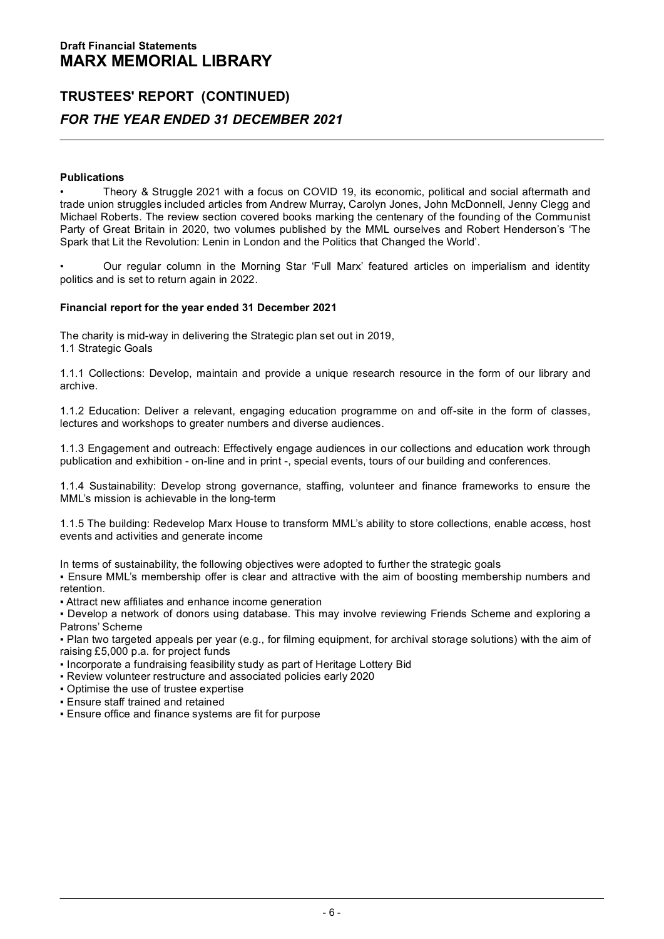# **TRUSTEES' REPORT (CONTINUED)** *FOR THE YEAR ENDED 31 DECEMBER 2021*

# **Publications**

Theory & Struggle 2021 with a focus on COVID 19, its economic, political and social aftermath and trade union struggles included articles from Andrew Murray, Carolyn Jones, John McDonnell, Jenny Clegg and Michael Roberts. The review section covered books marking the centenary of the founding of the Communist Party of Great Britain in 2020, two volumes published by the MML ourselves and Robert Henderson's 'The Spark that Lit the Revolution: Lenin in London and the Politics that Changed the World'.

• Our regular column in the Morning Star 'Full Marx' featured articles on imperialism and identity politics and is set to return again in 2022.

# **Financial report for the year ended 31 December 2021**

The charity is mid-way in delivering the Strategic plan set out in 2019, 1.1 Strategic Goals

1.1.1 Collections: Develop, maintain and provide a unique research resource in the form of our library and archive.

1.1.2 Education: Deliver a relevant, engaging education programme on and off-site in the form of classes, lectures and workshops to greater numbers and diverse audiences.

1.1.3 Engagement and outreach: Effectively engage audiences in our collections and education work through publication and exhibition - on-line and in print -, special events, tours of our building and conferences.

1.1.4 Sustainability: Develop strong governance, staffing, volunteer and finance frameworks to ensure the MML's mission is achievable in the long-term

1.1.5 The building: Redevelop Marx House to transform MML's ability to store collections, enable access, host<br>events and activities and generate income

In terms of sustainability, the following objectives were adopted to further the strategic goals

▪ Ensure MML's membership offer is clear and attractive with the aim of boosting membership numbers and retention.

▪ Attract new affiliates and enhance income generation

▪ Develop a network of donors using database. This may involve reviewing Friends Scheme and exploring a Patrons' Scheme

▪ Plan two targeted appeals per year (e.g., for filming equipment, for archival storage solutions) with the aim of raising £5,000 p.a. for project funds

- Incorporate a fundraising feasibility study as part of Heritage Lottery Bid
- Review volunteer restructure and associated policies early 2020
- Optimise the use of trustee expertise
- Ensure staff trained and retained
- Ensure office and finance systems are fit for purpose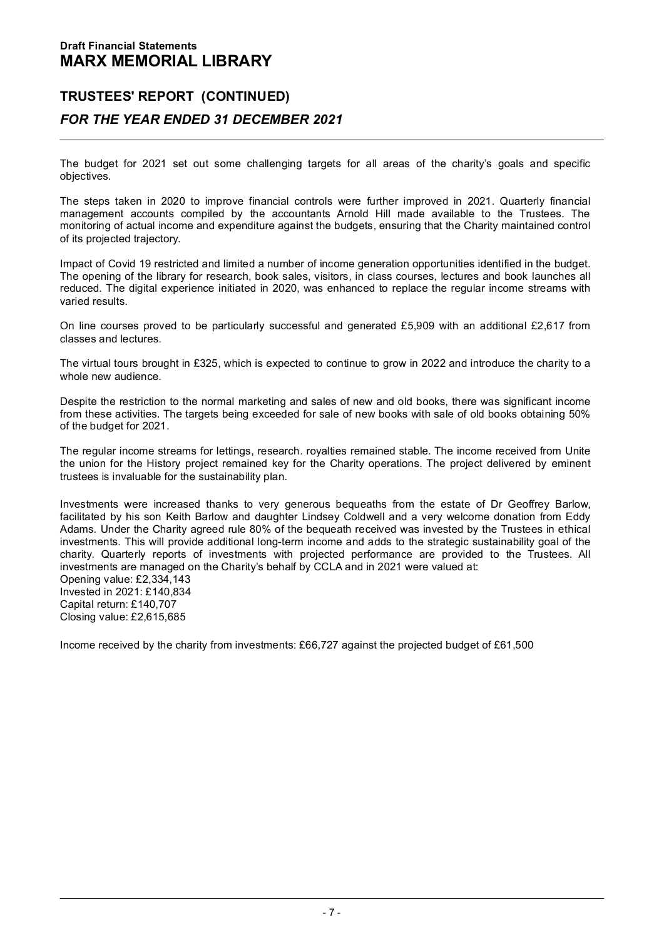# **TRUSTEES' REPORT (CONTINUED)** *FOR THE YEAR ENDED 31 DECEMBER 2021*

The budget for 2021 set out some challenging targets for all areas of the charity's goals and specific<br>objectives.

The steps taken in 2020 to improve financial controls were further improved in 2021. Quarterly financial<br>management accounts compiled by the accountants Arnold Hill made available to the Trustees. The<br>monitoring of actual of its projected trajectory.

Impact of Covid 19 restricted and limited a number of income generation opportunities identified in the budget. The opening of the library for research, book sales, visitors, in class courses, lectures and book launches all reduced. The digital experience initiated in 2020, was enhanced to replace the regular income streams with varied results.

On line courses proved to be particularly successful and generated £5,909 with an additional £2,617 from classes and lectures.

The virtual tours brought in £325, which is expected to continue to grow in 2022 and introduce the charity to a<br>whole new audience

Despite the restriction to the normal marketing and sales of new and old books, there was significant income from these activities. The targets being exceeded for sale of new books with sale of old books obtaining 50% of the budget for 2021.

The regular income streams for lettings, research. royalties remained stable. The income received from Unite the union for the History project remained key for the Charity operations. The project delivered by eminent trustees is invaluable for the sustainability plan.

Investments were increased thanks to very generous bequeaths from the estate of Dr Geoffrey Barlow, facilitated by his son Keith Barlow and daughter Lindsey Coldwell and a very welcome donation from Eddy Adams. Under the Charity agreed rule 80% of the bequeath received was invested by the Trustees in ethical investments. This will provide additional long-term income and adds to the strategic sustainability goal of the charity. Quarterly reports of investments with projected performance are provided to the Trustees. All investments are managed on the Charity's behalf by CCLA and in 2021 were valued at: Opening value: £2,334,143 Invested in 2021: £140,834 Capital return: £140,707

Closing value: £2,615,685

Income received by the charity from investments: £66,727 against the projected budget of £61,500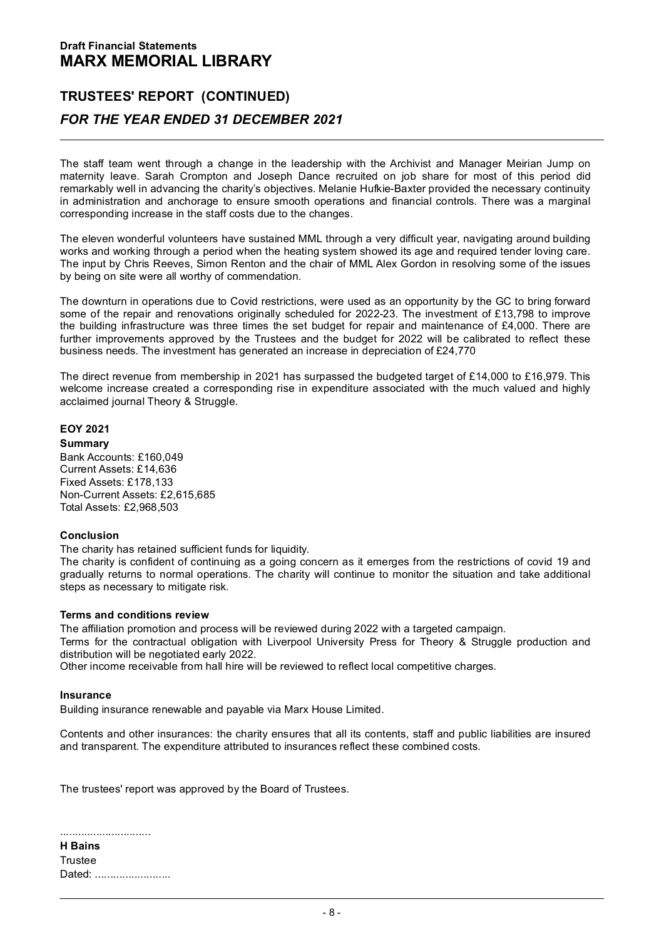# **TRUSTEES' REPORT (CONTINUED)** *FOR THE YEAR ENDED 31 DECEMBER 2021*

The staff team went through a change in the leadership with the Archivist and Manager Meirian Jump on maternity leave. Sarah Crompton and Joseph Dance recruited on job share for most of this period did remarkably well in advancing the charity's objectives. Melanie Hufkie-Baxter provided the necessary continuity in administration and anchorage to ensure smooth operations and financial controls. There was a marginal corresponding increase in the staff costs due to the changes.

The eleven wonderful volunteers have sustained MML through a very difficult year, navigating around building<br>works and working through a period when the heating system showed its age and required tender loving care.<br>The in by being on site were all worthy of commendation.

The downturn in operations due to Covid restrictions, were used as an opportunity by the GC to bring forward some of the repair and renovations originally scheduled for 2022-23. The investment of £13,798 to improve the building infrastructure was three times the set budget for repair and maintenance of £4,000. There are further improvements approved by the Trustees and the budget for 2022 will be calibrated to reflect these business needs. The investment has generated an increase in depreciation of £24,770

The direct revenue from membership in 2021 has surpassed the budgeted target of £14,000 to £16,979. This<br>welcome increase created a corresponding rise in expenditure associated with the much valued and highly<br>acclaimed jou

# **EOY 2021**

# **Summary**

Bank Accounts: £160,049 Current Assets: £14,636 Fixed Assets: £178,133 Non-Current Assets: £2,615,685 Total Assets: £2,968,503

# **Conclusion**

The charity has retained sufficient funds for liquidity.<br>The charity is confident of continuing as a going concern as it emerges from the restrictions of covid 19 and gradually returns to normal operations. The charity will continue to monitor the situation and take additional<br>steps as necessary to mitigate risk.

# **Terms and conditions review**

The affiliation promotion and process will be reviewed during 2022 with a targeted campaign. Terms for the contractual obligation with Liverpool University Press for Theory & Struggle production and distribution will be negotiated early 2022. Other income receivable from hall hire will be reviewed to reflect local competitive charges.

## **Insurance**

Building insurance renewable and payable via Marx House Limited.

Contents and other insurances: the charity ensures that all its contents, staff and public liabilities are insured<br>and transparent. The expenditure attributed to insurances reflect these combined costs.

The trustees' report was approved by the Board of Trustees.

| <b>H</b> Bains |  |
|----------------|--|
| Trustee        |  |
|                |  |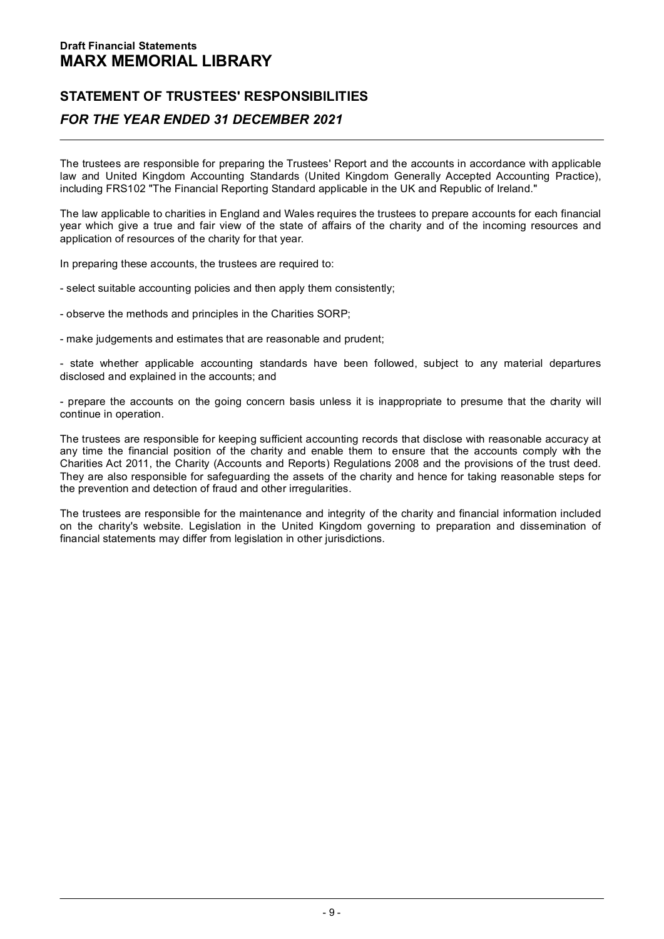# **STATEMENT OF TRUSTEES' RESPONSIBILITIES**  *FOR THE YEAR ENDED 31 DECEMBER 2021*

The trustees are responsible for preparing the Trustees' Report and the accounts in accordance with applicable law and United Kingdom Accounting Standards (United Kingdom Generally Accepted Accounting Practice), including FRS102 "The Financial Reporting Standard applicable in the UK and Republic of Ireland."

The law applicable to charities in England and Wales requires the trustees to prepare accounts for each financial<br>year which give a true and fair view of the state of affairs of the charity and of the incoming resources an

In preparing these accounts, the trustees are required to:

- select suitable accounting policies and then apply them consistently;
- observe the methods and principles in the Charities SORP;
- make judgements and estimates that are reasonable and prudent;

- state whether applicable accounting standards have been followed, subject to any material departures<br>disclosed and explained in the accounts; and

- prepare the accounts on the going concern basis unless it is inappropriate to presume that the charity will<br>continue in operation.

The trustees are responsible for keeping sufficient accounting records that disclose with reasonable accuracy at<br>any time the financial position of the charity and enable them to ensure that the accounts comply with the<br>Ch the prevention and detection of fraud and other irregularities.

The trustees are responsible for the maintenance and integrity of the charity and financial information included on the charity's website. Legislation in the United Kingdom governing to preparation and dissemination of financial statements may differ from legislation in other jurisdictions.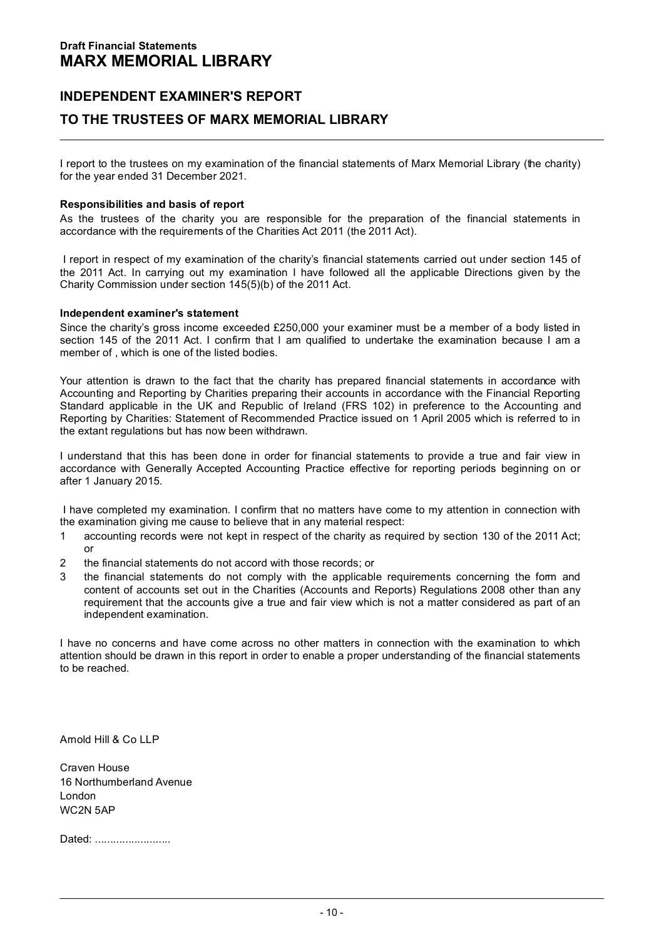# **INDEPENDENT EXAMINER'S REPORT TO THE TRUSTEES OF MARX MEMORIAL LIBRARY**

I report to the trustees on my examination of the financial statements of Marx Memorial Library (the charity) for the year ended 31 December 2021.

# **Responsibilities and basis of report**

As the trustees of the charity you are responsible for the preparation of the financial statements in accordance with the requirements of the Charities Act 2011 (the 2011 Act).

I report in respect of my examination of the charity's financial statements carried out under section 145 of the 2011 Act. In carrying out my examination I have followed all the applicable Directions given by the Charity Commission under section 145(5)(b) of the 2011 Act.

# **Independent examiner's statement**

Since the charity's gross income exceeded £250,000 your examiner must be a member of a body listed in<br>section 145 of the 2011 Act. I confirm that I am qualified to undertake the examination because I am a<br>member of which i

Your attention is drawn to the fact that the charity has prepared financial statements in accordance with<br>Accounting and Reporting by Charities preparing their accounts in accordance with the Financial Reporting<br>Standard a Reporting by Charities: Statement of Recommended Practice issued on 1 April 2005 which is referred to in the extant regulations but has now been withdrawn.

I understand that this has been done in order for financial statements to provide a true and fair view in<br>accordance with Generally Accepted Accounting Practice effective for reporting periods beginning on or<br>after 1 Janua

I have completed my examination. I confirm that no matters have come to my attention in connection with the examination giving me cause to believe that in any material respect:

- 1 accounting records were not kept in respect of the charity as required by section 130 of the 2011 Act; or
- 
- 2 the financial statements do not accord with those records; or<br>3 the financial statements do not comply with the applicable requirements concerning the form and <sup>3</sup> the financial statements do not comply with the applicable requirements concerning the form and content of accounts set out in the Charities (Accounts and Reports) Regulations 2008 other than any requirement that the accounts give a true and fair view which is not a matter considered as part of an independent examination.

I have no concerns and have come across no other matters in connection with the examination to which attention should be drawn in this report in order to enable a proper understanding of the financial statements to be reached.

Amold Hill & Co LLP

Craven House 16 Northumberland Avenue London WC2N 5AP

Dated: .........................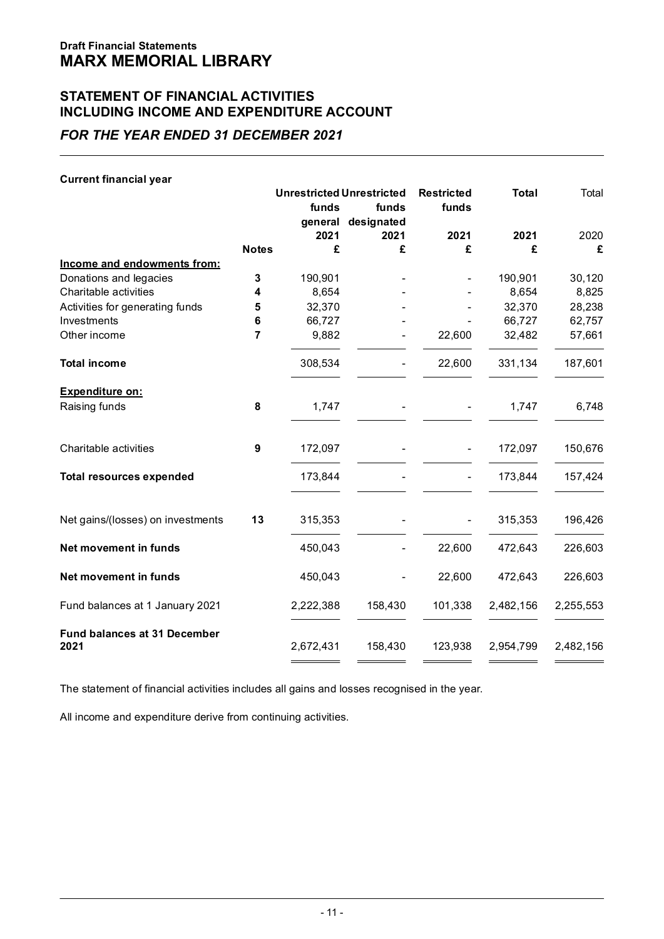# **STATEMENT OF FINANCIAL ACTIVITIES INCLUDING INCOME AND EXPENDITURE ACCOUNT**

# *FOR THE YEAR ENDED 31 DECEMBER 2021*

| <b>Current financial year</b>               |                                  |                 |                     |         |           |           |
|---------------------------------------------|----------------------------------|-----------------|---------------------|---------|-----------|-----------|
|                                             | <b>Unrestricted Unrestricted</b> |                 | <b>Restricted</b>   | Total   | Total     |           |
|                                             |                                  | funds           | funds<br>designated | funds   |           |           |
|                                             |                                  | general<br>2021 | 2021                | 2021    | 2021      | 2020      |
|                                             | <b>Notes</b>                     | £               | £                   | £       | £         | £         |
| Income and endowments from:                 |                                  |                 |                     |         |           |           |
| Donations and legacies                      | 3                                | 190,901         |                     |         | 190.901   | 30,120    |
| Charitable activities                       | 4                                | 8,654           |                     |         | 8,654     | 8,825     |
| Activities for generating funds             | 5                                | 32.370          |                     |         | 32,370    | 28,238    |
| Investments                                 | 6                                | 66,727          |                     |         | 66,727    | 62,757    |
| Other income                                | 7                                | 9,882           |                     | 22,600  | 32,482    | 57,661    |
| Total income                                |                                  | 308.534         | ٠                   | 22,600  | 331.134   | 187,601   |
| <b>Expenditure on:</b>                      |                                  |                 |                     |         |           |           |
| Raising funds                               | 8                                | 1.747           |                     |         | 1.747     | 6.748     |
| Charitable activities                       | 9                                | 172,097         |                     |         | 172,097   | 150,676   |
| <b>Total resources expended</b>             |                                  | 173,844         |                     |         | 173,844   | 157,424   |
| Net gains/(losses) on investments           | 13                               | 315,353         |                     |         | 315,353   | 196,426   |
| Net movement in funds                       |                                  | 450,043         | ٠                   | 22,600  | 472,643   | 226,603   |
| Net movement in funds                       |                                  | 450,043         | ٠                   | 22,600  | 472,643   | 226,603   |
| Fund balances at 1 January 2021             |                                  | 2,222,388       | 158,430             | 101,338 | 2,482,156 | 2,255,553 |
| <b>Fund balances at 31 December</b><br>2021 |                                  | 2,672,431       | 158,430             | 123,938 | 2,954,799 | 2,482,156 |

The statement of financial activities includes all gains and losses recognised in the year.

All income and expenditure derive from continuing activities.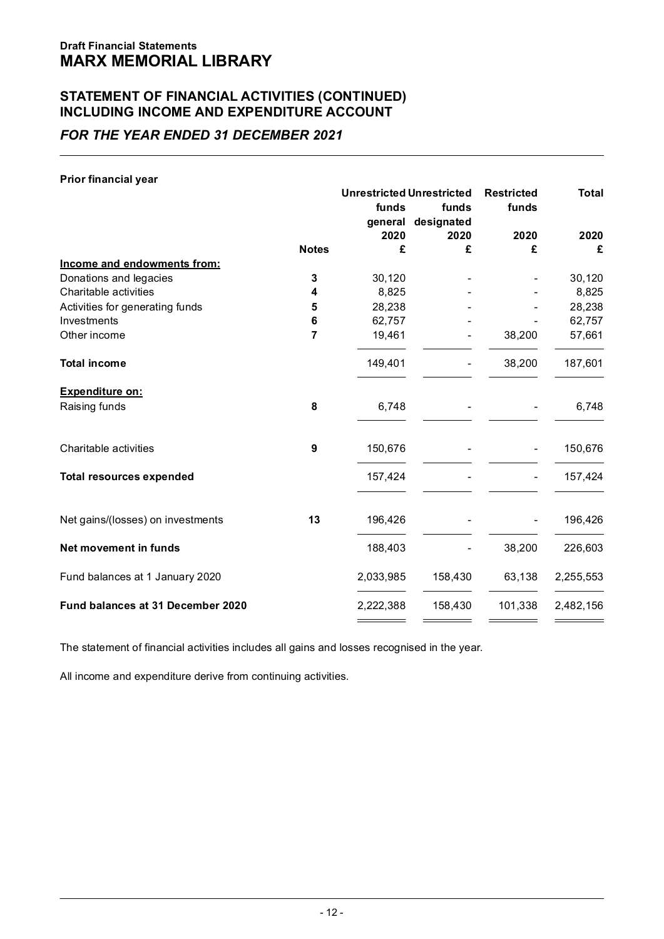# **STATEMENT OF FINANCIAL ACTIVITIES (CONTINUED) INCLUDING INCOME AND EXPENDITURE ACCOUNT**

# *FOR THE YEAR ENDED 31 DECEMBER 2021*

| Prior financial year              |              |                                  |                    |                   |           |
|-----------------------------------|--------------|----------------------------------|--------------------|-------------------|-----------|
|                                   |              | <b>Unrestricted Unrestricted</b> |                    | <b>Restricted</b> | Total     |
|                                   |              | funds                            | funds              | funds             |           |
|                                   |              |                                  | general designated |                   |           |
|                                   |              | 2020                             | 2020               | 2020              | 2020      |
|                                   | <b>Notes</b> | £                                | £                  | £                 | £         |
| Income and endowments from:       |              |                                  |                    |                   |           |
| Donations and legacies            | 3            | 30,120                           |                    |                   | 30,120    |
| Charitable activities             | 4            | 8.825                            |                    |                   | 8,825     |
| Activities for generating funds   | 5            | 28.238                           |                    |                   | 28,238    |
| Investments                       | 6            | 62.757                           |                    |                   | 62,757    |
| Other income                      | 7            | 19,461                           |                    | 38,200            | 57,661    |
| <b>Total income</b>               |              | 149.401                          |                    | 38.200            | 187.601   |
| <b>Expenditure on:</b>            |              |                                  |                    |                   |           |
| Raising funds                     | 8            | 6,748                            |                    |                   | 6,748     |
| Charitable activities             | 9            | 150,676                          |                    | ٠                 | 150,676   |
|                                   |              |                                  |                    |                   |           |
| <b>Total resources expended</b>   |              | 157,424                          |                    | ٠                 | 157,424   |
| Net gains/(losses) on investments | 13           | 196,426                          |                    | ٠                 | 196,426   |
| Net movement in funds             |              | 188,403                          |                    | 38,200            | 226,603   |
| Fund balances at 1 January 2020   |              | 2,033,985                        | 158,430            | 63,138            | 2,255,553 |
| Fund balances at 31 December 2020 |              | 2,222,388                        | 158,430            | 101,338           | 2,482,156 |

The statement of financial activities includes all gains and losses recognised in the year.

All income and expenditure derive from continuing activities.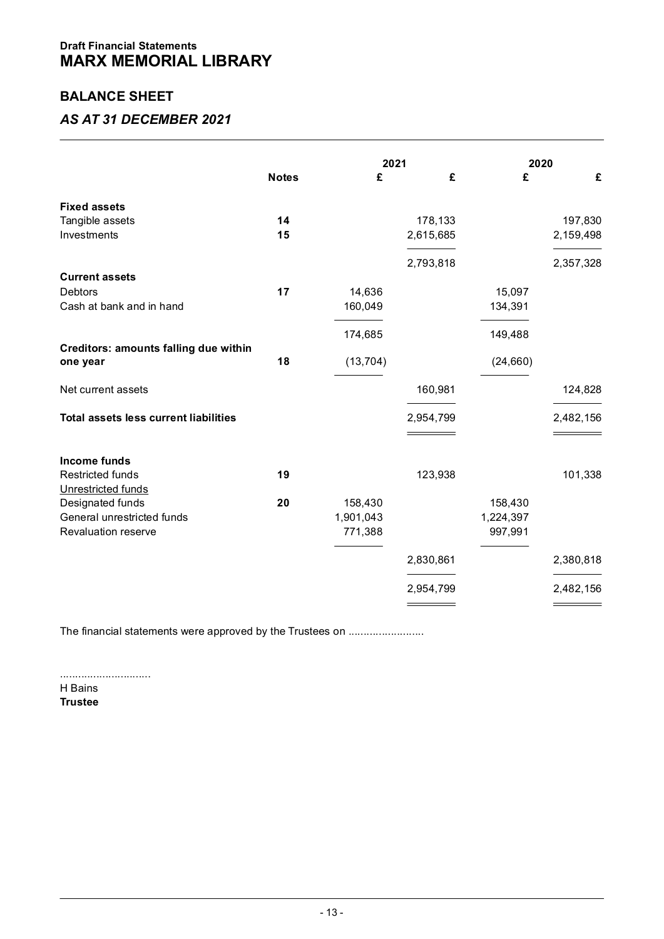# **BALANCE SHEET**

# *AS AT 31 DECEMBER 2021*

|                                              |              | 2021      |                  |                      | 2020                                     |  |
|----------------------------------------------|--------------|-----------|------------------|----------------------|------------------------------------------|--|
|                                              | <b>Notes</b> | £         | £                | £                    | £                                        |  |
| <b>Fixed assets</b>                          |              |           |                  |                      |                                          |  |
| Tangible assets                              | 14           |           | 178,133          |                      | 197,830                                  |  |
| Investments                                  | 15           |           | 2,615,685        |                      | 2,159,498                                |  |
|                                              |              |           | 2,793,818        |                      | 2,357,328                                |  |
| <b>Current assets</b>                        |              |           |                  |                      |                                          |  |
| <b>Debtors</b>                               | 17           | 14,636    |                  | 15,097               |                                          |  |
| Cash at bank and in hand                     |              | 160,049   |                  | 134,391              |                                          |  |
|                                              |              | 174,685   |                  | 149,488              |                                          |  |
| Creditors: amounts falling due within        |              |           |                  |                      |                                          |  |
| one year                                     | 18           | (13, 704) |                  | (24, 660)            |                                          |  |
| Net current assets                           |              |           | 160,981          |                      | 124,828                                  |  |
|                                              |              |           |                  |                      |                                          |  |
| <b>Total assets less current liabilities</b> |              |           | 2,954,799<br>___ |                      | 2,482,156<br>and the control of the con- |  |
|                                              |              |           |                  |                      |                                          |  |
| Income funds<br><b>Restricted funds</b>      | 19           |           |                  |                      |                                          |  |
|                                              |              |           | 123,938          |                      | 101,338                                  |  |
| Unrestricted funds<br>Designated funds       | 20           | 158,430   |                  | 158,430              |                                          |  |
| General unrestricted funds                   |              | 1,901,043 |                  |                      |                                          |  |
| Revaluation reserve                          |              | 771,388   |                  | 1,224,397<br>997,991 |                                          |  |
|                                              |              |           |                  |                      |                                          |  |
|                                              |              |           | 2,830,861        |                      | 2,380,818                                |  |
|                                              |              |           | 2,954,799        |                      | 2,482,156                                |  |
|                                              |              |           |                  |                      |                                          |  |

The financial statements were approved by the Trustees on .......................

..............................

H Bains **Trustee**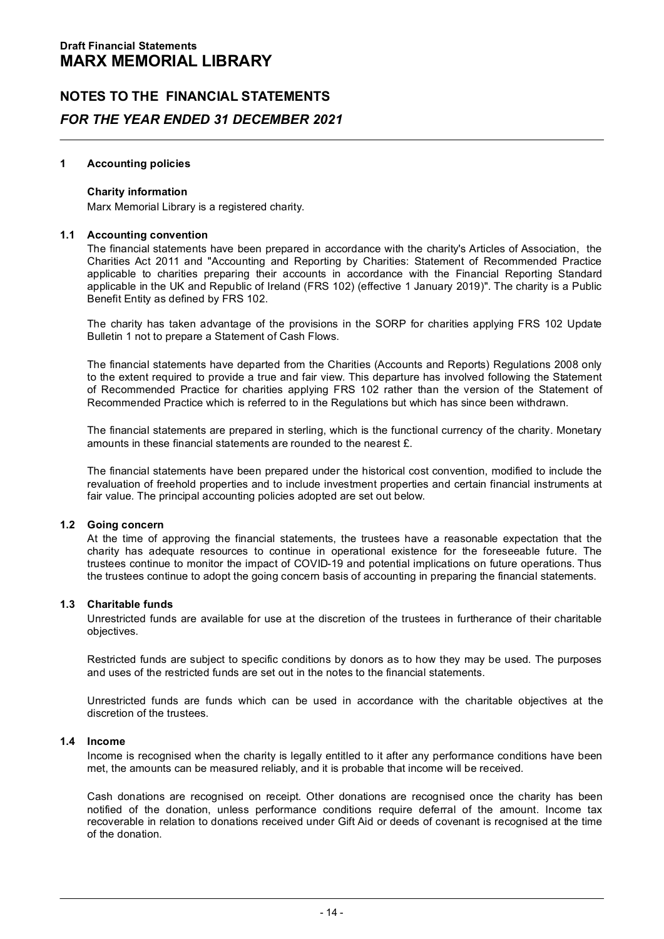## **1 Accounting policies**

# **Charity information**

Marx Memorial Library is a registered charity.

**1.1 Accounting convention**<br>The financial statements have been prepared in accordance with the charity's Articles of Association. the Charities Act 2011 and "Accounting and Reporting by Charities: Statement of Recommended Practice applicable to charities preparing their accounts in accordance with the Financial Reporting Standard applicable in the UK and Republic of Ireland (FRS 102) (effective 1 January 2019)". The charity is a Public<br>Benefit Entity as defined by FRS 102.

The charity has taken advantage of the provisions in the SORP for charities applying FRS 102 Update Bulletin 1 not to prepare a Statement of Cash Flows.

The financial statements have departed from the Charities (Accounts and Reports) Regulations 2008 only<br>to the extent required to provide a true and fair view. This departure has involved following the Statement of Recommended Practice for charities applying FRS 102 rather than the version of the Statement of Recommended Practice which is referred to in the Regulations but which has since been withdrawn.

The financial statements are prepared in sterling, which is the functional currency of the charity. Monetary amounts in these financial statements are rounded to the nearest  $\hat{r}$ .

The financial statements have been prepared under the historical cost convention, modified to include the revaluation of freehold properties and to include investment properties and certain financial instruments at fair value. The principal accounting policies adopted are set out below.

**1.2 Going concern**<br>At the time of approving the financial statements, the trustees have a reasonable expectation that the charity has adequate resources to continue in operational existence for the foreseeable future. The trustees continue to monitor the impact of COVID-19 and potential implications on future operations. Thus the trustees continue to adopt the going concern basis of accounting in preparing the financial statements.

**1.3 Charitable funds**<br>Unrestricted funds are available for use at the discretion of the trustees in furtherance of their charitable<br>objectives.

Restricted funds are subject to specific conditions by donors as to how they may be used. The purposes and uses of the restricted funds are set out in the notes to the financial statements.

Unrestricted funds are funds which can be used in accordance with the charitable objectives at the discretion of the trustees.

**1.4 Income**<br>Income is recognised when the charity is legally entitled to it after any performance conditions have been met, the amounts can be measured reliably, and it is probable that income will be received.

Cash donations are recognised on receipt. Other donations are recognised once the charity has been notified of the donation, unless performance conditions require deferral of the amount. Income tax recoverable in relation to donations received under Gift Aid or deeds of covenant is recognised at the time of the donation.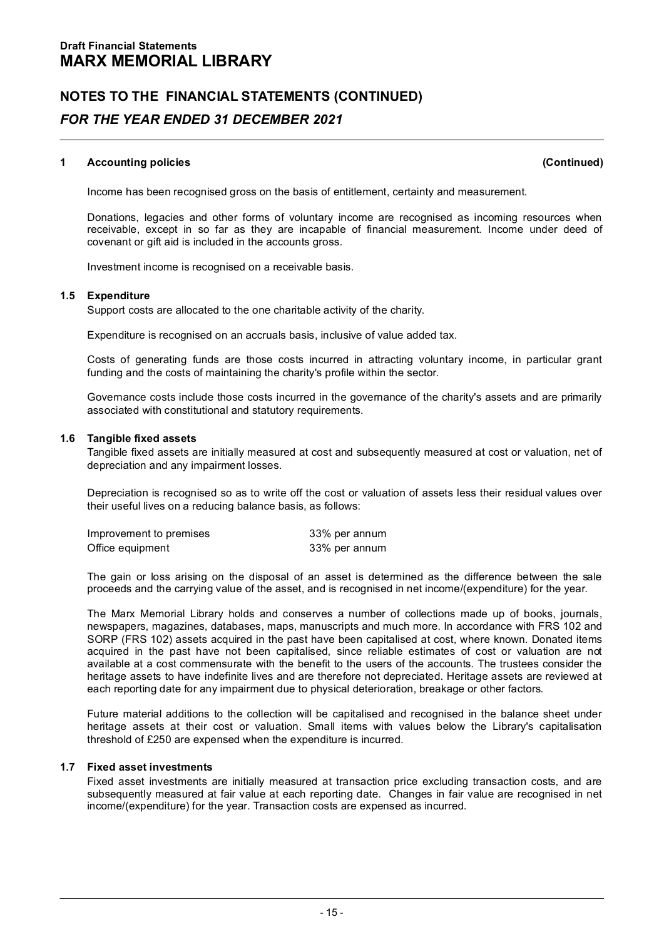# **1 Accounting policies (Continued)**

Income has been recognised gross on the basis of entitlement, certainty and measurement.

Donations, legacies and other forms of voluntary income are recognised as incoming resources when receivable, except in so far as they are incapable of financial measurement. Income under deed of covenant or gift aid is included in the accounts gross.

Investment income is recognised on a receivable basis.

**1.5 Expenditure**<br>Support costs are allocated to the one charitable activity of the charity.

Expenditure is recognised on an accruals basis, inclusive of value added tax.

Costs of generating funds are those costs incurred in attracting voluntary income, in particular grant funding and the costs of maintaining the charity's profile within the sector.

Governance costs include those costs incurred in the governance of the charity's assets and are primarily associated with constitutional and statutory requirements.

# **1.6 Tangible fixed assets**

Tangible fixed assets are initially measured at cost and subsequently measured at cost or valuation, net of depreciation and any impairment losses.

Depreciation is recognised so as to write off the cost or valuation of assets less their residual values over

| their useful lives on a reducing balance basis, as follows: |               |  |  |  |
|-------------------------------------------------------------|---------------|--|--|--|
| Improvement to premises                                     | 33% per annum |  |  |  |
| Office equipment                                            | 33% per annum |  |  |  |

The gain or loss arising on the disposal of an asset is determined as the difference between the sale proceeds and the carrying value of the asset, and is recognised in net income/(expenditure) for the year.

The Marx Memorial Library holds and conserves a number of collections made up of books, journals, newspapers, magazines, databases, maps, manuscripts and much more. In accordance with FRS 102 and SORP (FRS 102) assets acquired in the past have been capitalised at cost, where known. Donated items acquired in the past have not been capitalised, since reliable estimates of cost or valuation are not available at a cost commensurate with the benefit to the users of the accounts. The trustees consider the<br>heritage assets to have indefinite lives and are therefore not depreciated. Heritage assets are reviewed at<br>each rep

Future material additions to the collection will be capitalised and recognised in the balance sheet under heritage assets at their cost or valuation. Small items with values below the Library's capitalisation threshold of £250 are expensed when the expenditure is incurred.

1.7 Fixed asset investments<br>Fixed asset investments are initially measured at transaction price excluding transaction costs, and are<br>subsequently measured at fair value at each reporting date. Changes in fair value are rec income/(expenditure) for the year. Transaction costs are expensed as incurred.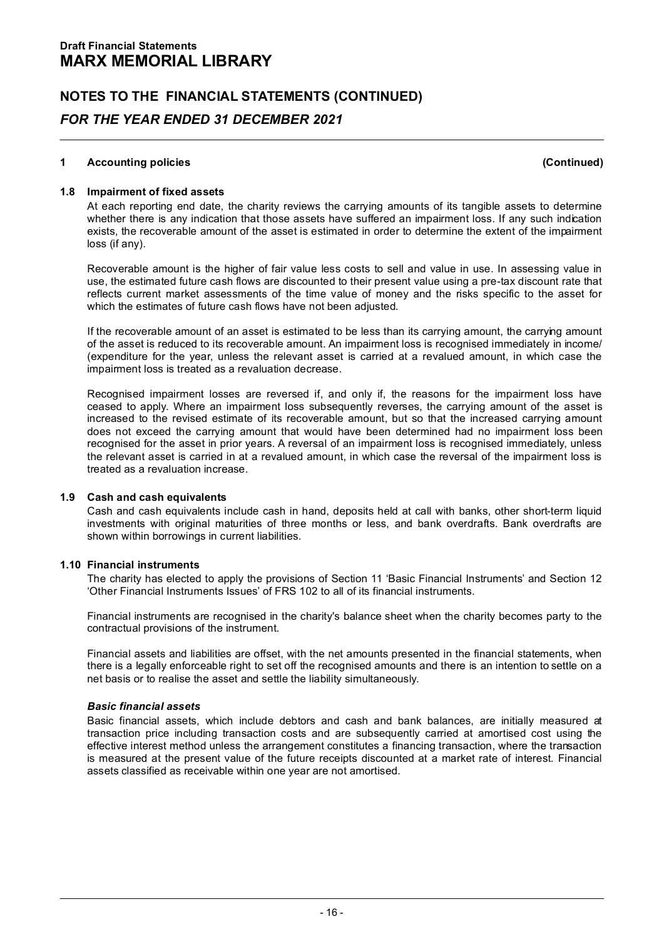# **1 Accounting policies (Continued)**

1 Accounting policies (Continued)<br>1.8 Impairment of fixed assets<br>At each reporting end date, the charity reviews the carrying amounts of its tangible assets to determine<br>whether there is any indication that those assets ha loss (if any).

Recoverable amount is the higher of fair value less costs to sell and value in use. In assessing value in use,<br>use, the estimated future cash flows are discounted to their present value using a pre-tax discount rate that reflects current market assessments of the time value of money and the risks specific to the asset for which the estimates of future cash flows have not been adjusted.

If the recoverable amount of an asset is estimated to be less than its carrying amount, the carrying amount of the asset is reduced to its recoverable amount. An impairment loss is recognised immediately in income/ (expenditure for the year, unless the relevant asset is carried at a revalued amount, in which case the impairment loss is treated as a revaluation decrease.

Recognised impairment losses are reversed if, and only if, the reasons for the impairment loss have ceased to apply. Where an impairment loss have increased to apply. Where an impairment loss subsequently reverses is incre the record the carrying amount that would have been determined had no impairment loss been recognised for the asset in prior years. A reversal of an impairment loss is recognised immediately, unless the relevant asset is carried in at a revalued amount, in which case the reversal of the impairment loss is treated as a revaluation increase.

**1.9 Cash and cash equivalents**<br>Cash and cash equivalents include cash in hand, deposits held at call with banks, other short-term liquid investments with original maturities of three months or less, and bank overdrafts. Bank overdrafts are shown within borrowings in current liabilities.

**1.10 Financial instruments**<br>The charity has elected to apply the provisions of Section 11 'Basic Financial Instruments' and Section 12 'Other Financial Instruments Issues' of FRS 102 to all of its financial instruments.

Financial instruments are recognised in the charity's balance sheet when the charity becomes party to the contractual provisions of the instrument.

Financial assets and liabilities are offset, with the net amounts presented in the financial statements, when there is a legally enforceable right to set off the recognised amounts and there is an intention to settle on a<br>net basis or to realise the asset and settle the liability simultaneously.

# *Basic financial assets*

Basic financial assets, which include debtors and cash and bank balances, are initially measured at transaction costs and are subsequently carried at amortised cost using the effective interest method unless the arrangement constitutes a financing transaction, where the transaction is measured at the present value of the future receipts discounted at a market rate of interest. Financial assets classified as receivable within one year are not amortised.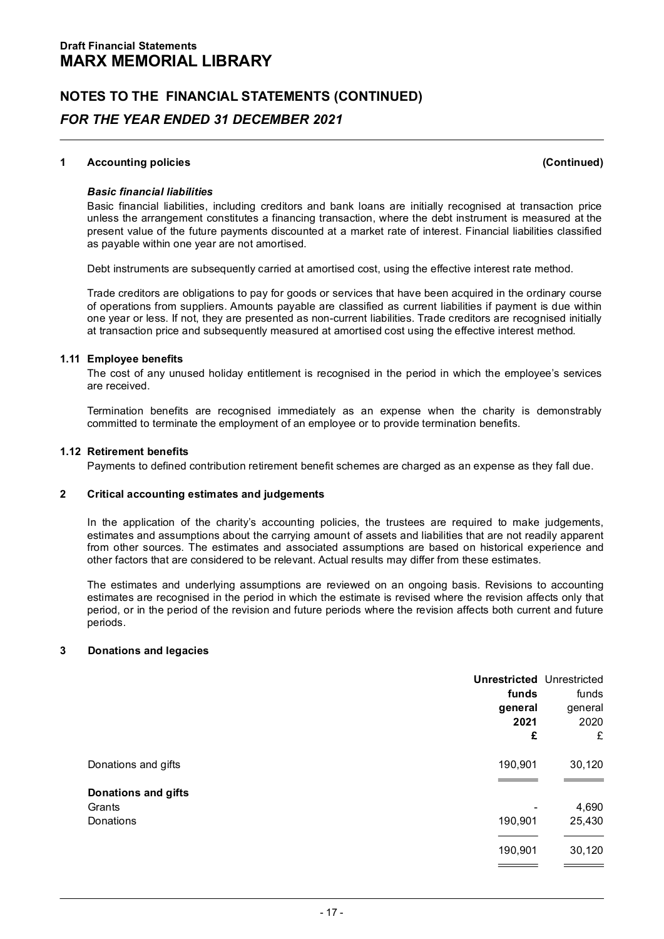# **1 Accounting policies (Continued)**

# *Basic financial liabilities*

Basic financial liabilities, including creditors and bank loans are initially recognised at transaction price<br>unless the arrangement constitutes a financing transaction, where the debt instrument is measured at the<br>present

Debt instruments are subsequently carried at amortised cost, using the effective interest rate method.

Trade creditors are obligations to pay for goods or services that have been acquired in the ordinary course<br>of operations from suppliers. Amounts payable are classified as current liabilities if payment is due within<br>one y

# **1.11 Employee benefits**

The cost of any unused holiday entitlement is recognised in the period in which the employee's services are received.

Termination benefits are recognised immediately as an expense when the charity is demonstrably committed to terminate the employment of an employee or to provide termination benefits.

# **1.12 Retirement benefits**

Payments to defined contribution retirement benefit schemes are charged as an expense as they fall due.

# **2 Critical accounting estimates and judgements**

In the application of the charity's accounting policies, the trustees are required to make judgements, estimates and assumptions about the carrying amount of assets and liabilities that are not readily apparent from other sources. The estimates and associated assumptions are based on historical experience and other factors that are considered to be relevant. Actual results may differ from these estimates.

The estimates and underlying assumptions are reviewed on an ongoing basis. Revisions to accounting<br>estimates are recognised in the period in which the estimate is revised where the revision affects only that period, or in the period of the revision and future periods where the revision affects both current and future<br>periods.

# **3 Donations and legacies**

|                               | <b>Unrestricted Unrestricted</b><br>funds<br>general<br>2021<br>£ | funds<br>general<br>2020<br>£ |
|-------------------------------|-------------------------------------------------------------------|-------------------------------|
| Donations and gifts           | 190,901                                                           | 30,120                        |
| Donations and gifts<br>Grants |                                                                   |                               |
| Donations                     | ٠<br>190,901                                                      | 4,690<br>25,430               |
|                               |                                                                   |                               |
|                               | 190,901                                                           | 30,120                        |
|                               |                                                                   |                               |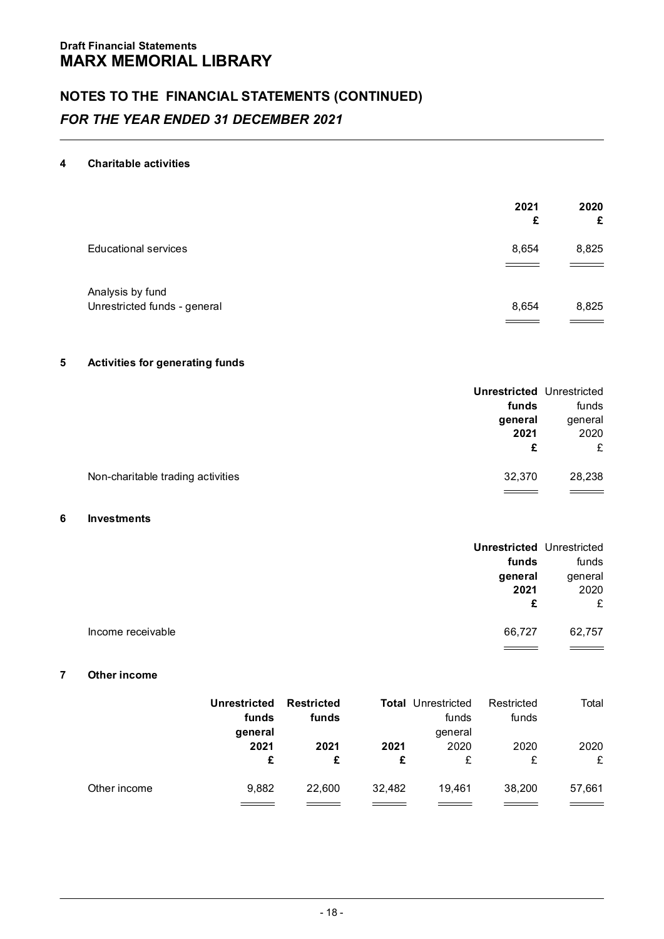# **4 Charitable activities**

|                                                  | 2021<br>£ | 2020<br>£ |
|--------------------------------------------------|-----------|-----------|
| <b>Educational services</b>                      | 8,654     | 8,825     |
| Analysis by fund<br>Unrestricted funds - general | 8,654     | 8,825     |

# **5 Activities for generating funds**

|                                   | <b>Unrestricted Unrestricted</b><br>funds<br>general<br>2021<br>£ | funds<br>general<br>2020<br>£ |
|-----------------------------------|-------------------------------------------------------------------|-------------------------------|
| Non-charitable trading activities | 32.370                                                            | 28.238                        |

# **6 Investments**

|         | <b>Unrestricted Unrestricted</b> |                   |
|---------|----------------------------------|-------------------|
| funds   | funds                            |                   |
| general | general                          |                   |
| 2020    | 2021                             |                   |
| £       | £                                |                   |
| 62,757  | 66.727                           | Income receivable |
|         |                                  |                   |

# **7 Other income**

| Other income |              |                   |        |                           |            |        |  |
|--------------|--------------|-------------------|--------|---------------------------|------------|--------|--|
|              | Unrestricted | <b>Restricted</b> |        | <b>Total Unrestricted</b> | Restricted | Total  |  |
|              | funds        | funds             |        | funds                     | funds      |        |  |
|              | general      |                   |        | general                   |            |        |  |
|              | 2021         | 2021              | 2021   | 2020                      | 2020       | 2020   |  |
|              | £            | £                 | £      | £                         | £          | £      |  |
| Other income | 9.882        | 22,600            | 32.482 | 19.461                    | 38,200     | 57.661 |  |
|              |              |                   |        |                           |            |        |  |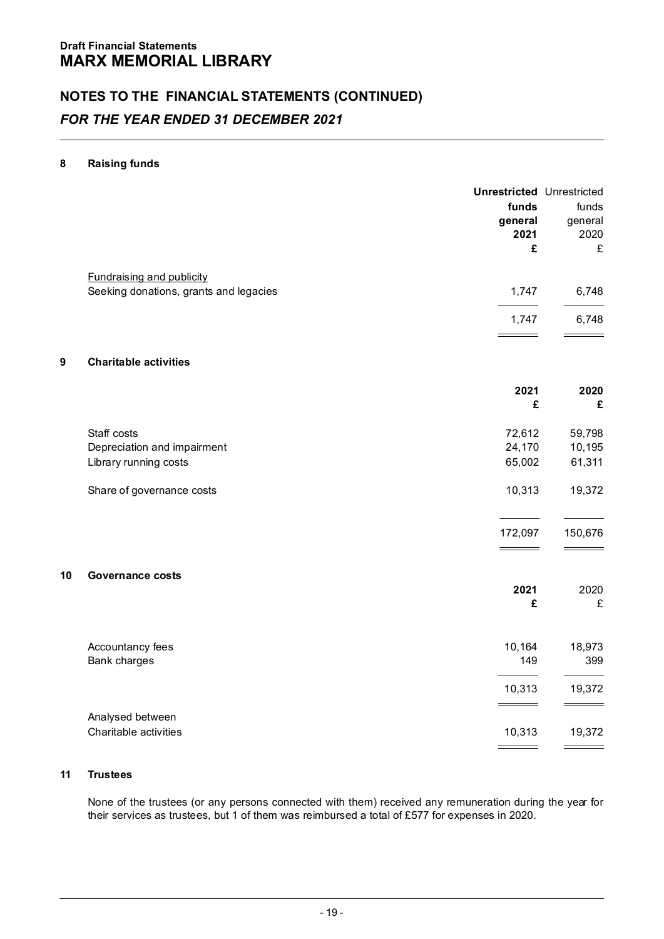# **8 Raising funds**

|    |                                                                            | <b>Unrestricted Unrestricted</b><br>funds<br>general<br>2021<br>£ | funds<br>general<br>2020<br>£       |
|----|----------------------------------------------------------------------------|-------------------------------------------------------------------|-------------------------------------|
|    | <b>Fundraising and publicity</b><br>Seeking donations, grants and legacies | 1,747                                                             | 6,748                               |
|    |                                                                            |                                                                   |                                     |
|    |                                                                            | 1,747                                                             | 6,748                               |
| 9  | <b>Charitable activities</b>                                               |                                                                   |                                     |
|    |                                                                            | 2021                                                              | 2020                                |
|    |                                                                            | £                                                                 | £                                   |
|    | Staff costs                                                                | 72,612                                                            | 59,798                              |
|    | Depreciation and impairment                                                | 24,170                                                            | 10,195                              |
|    | Library running costs                                                      | 65,002                                                            | 61,311                              |
|    | Share of governance costs                                                  | 10,313                                                            | 19,372                              |
|    |                                                                            | 172,097<br>$\overline{\phantom{a}}$                               | 150,676<br>$\overline{\phantom{a}}$ |
| 10 | Governance costs                                                           |                                                                   |                                     |
|    |                                                                            | 2021                                                              | 2020                                |
|    |                                                                            | £                                                                 | £                                   |
|    | Accountancy fees                                                           | 10,164                                                            | 18,973                              |
|    | Bank charges                                                               | 149                                                               | 399                                 |
|    |                                                                            | 10,313                                                            | 19,372                              |
|    | Analysed between                                                           |                                                                   |                                     |
|    | Charitable activities                                                      | 10,313                                                            | 19,372                              |
|    |                                                                            | $\overline{\phantom{a}}$                                          | $ -$                                |

# **11 Trustees**

None of the trustees (or any persons connected with them) received any remuneration during the year for their services as trustees, but 1 of them was reimbursed a total of £577 for expenses in 2020.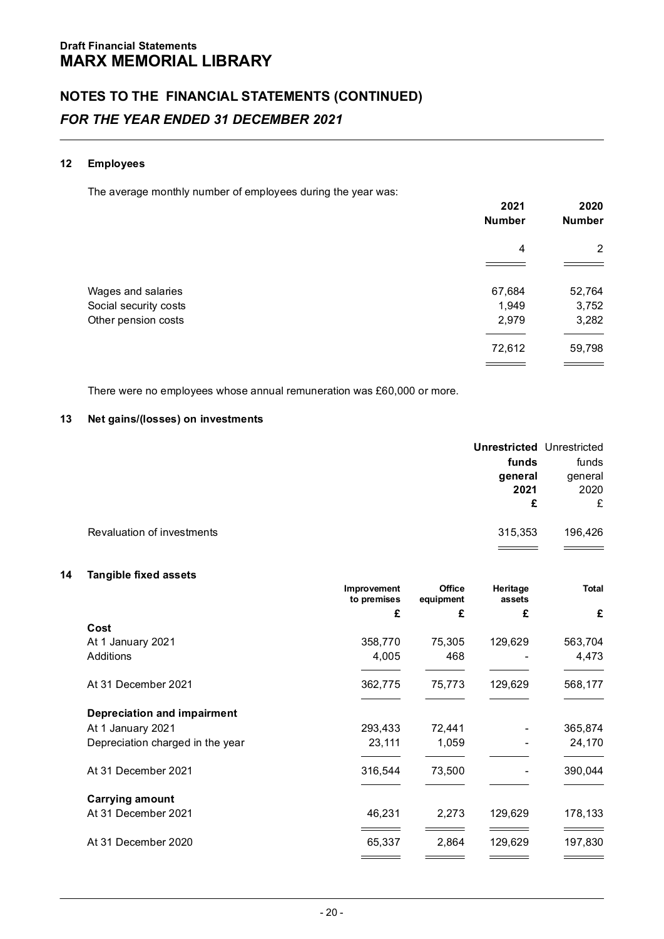# **12 Employees**

The average monthly number of employees during the year was:

|                       | 2021<br>Number | 2020<br>Number |
|-----------------------|----------------|----------------|
|                       | $\overline{4}$ | $\overline{2}$ |
|                       |                |                |
| Wages and salaries    | 67,684         | 52,764         |
| Social security costs | 1,949          | 3,752          |
| Other pension costs   | 2,979          | 3,282          |
|                       | 72,612         | 59,798         |
|                       |                |                |

There were no employees whose annual remuneration was £60,000 or more.

# **13 Net gains/(losses) on investments**

|                                       | <b>Unrestricted Unrestricted</b> |
|---------------------------------------|----------------------------------|
| funds                                 | funds                            |
| general                               | general                          |
| 2021                                  | 2020                             |
|                                       | £<br>£                           |
| Revaluation of investments<br>315.353 | 196.426                          |
|                                       |                                  |

# **14 Tangible fixed assets**

|                                  | Improvement<br>to premises | Office<br>equipment | Heritage<br>assets | Total   |
|----------------------------------|----------------------------|---------------------|--------------------|---------|
|                                  | £                          | £                   | £                  | £       |
| Cost                             |                            |                     |                    |         |
| At 1 January 2021                | 358.770                    | 75.305              | 129.629            | 563.704 |
| <b>Additions</b>                 | 4.005                      | 468                 | ۰                  | 4.473   |
| At 31 December 2021              | 362,775                    | 75.773              | 129.629            | 568,177 |
| Depreciation and impairment      |                            |                     |                    |         |
| At 1 January 2021                | 293.433                    | 72.441              | ٠                  | 365.874 |
| Depreciation charged in the year | 23,111                     | 1.059               | ٠                  | 24,170  |
| At 31 December 2021              | 316.544                    | 73.500              | ٠                  | 390.044 |
| <b>Carrying amount</b>           |                            |                     |                    |         |
| At 31 December 2021              | 46,231                     | 2,273               | 129,629            | 178,133 |
| At 31 December 2020              | 65,337                     | 2.864               | 129.629            | 197,830 |
|                                  |                            |                     |                    |         |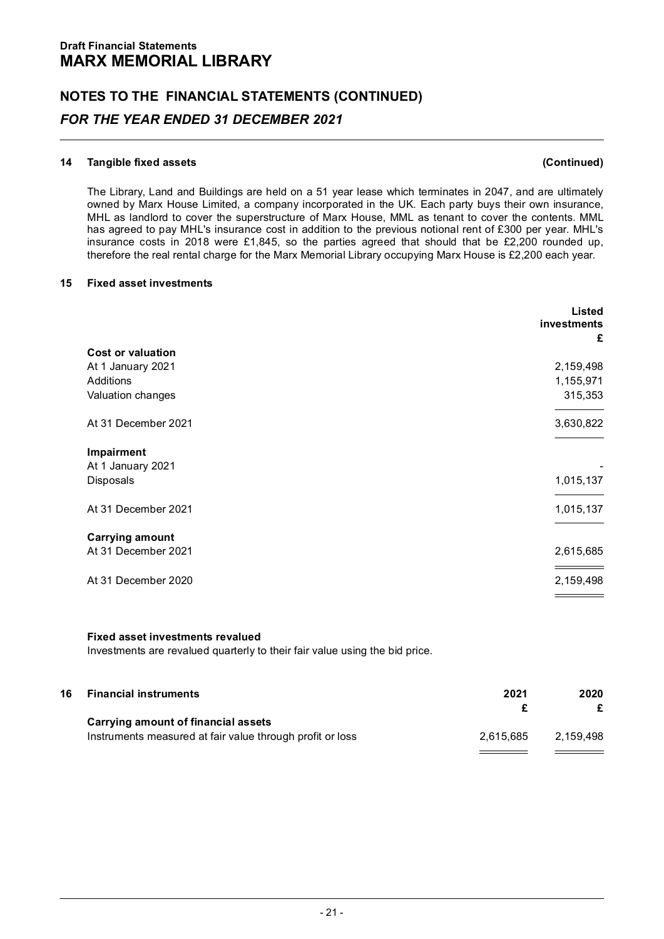# **14 Tangible fixed assets (Continued)**

The Library, Land and Buildings are held on a 51 year lease which terminates in 2047, and are ultimately<br>owned by Marx House Limited, a company incorporated in the UK. Each party buys their own insurance,<br>MHL as landlord t insurance costs in 2018 were £1,845, so the parties agreed that should that be £2,200 rounded up, therefore the real rental charge for the Marx Memorial Library occupying Marx House is £2,200 each year.

# **15 Fixed asset investments**

|                                              | Listed<br>investments<br>£ |
|----------------------------------------------|----------------------------|
| <b>Cost or valuation</b>                     |                            |
| At 1 January 2021                            | 2,159,498                  |
| Additions                                    | 1,155,971                  |
| Valuation changes                            | 315,353                    |
|                                              |                            |
| At 31 December 2021                          | 3,630,822                  |
| Impairment<br>At 1 January 2021<br>Disposals | 1,015,137                  |
| At 31 December 2021                          | 1,015,137                  |
| <b>Carrying amount</b>                       |                            |
| At 31 December 2021                          | 2,615,685                  |
|                                              |                            |
| At 31 December 2020                          | 2,159,498                  |
|                                              |                            |

# **Fixed asset investments revalued**

Investments are revalued quarterly to their fair value using the bid price.

| 16 | <b>Financial instruments</b>                              | 2021      | 2020      |  |
|----|-----------------------------------------------------------|-----------|-----------|--|
|    |                                                           |           |           |  |
|    | Carrying amount of financial assets                       |           |           |  |
|    | Instruments measured at fair value through profit or loss | 2.615.685 | 2.159.498 |  |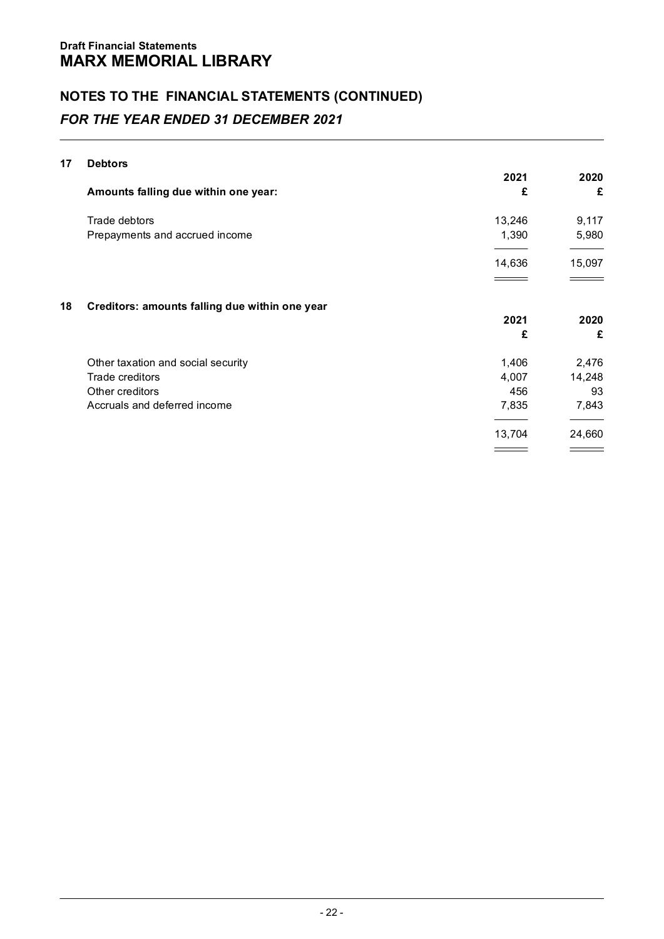# **17 Debtors**

|    |                                                | 2021   | 2020   |
|----|------------------------------------------------|--------|--------|
|    | Amounts falling due within one year:           | £      | £      |
|    | Trade debtors                                  | 13,246 | 9,117  |
|    | Prepayments and accrued income                 | 1,390  | 5,980  |
|    |                                                | 14,636 | 15,097 |
| 18 | Creditors: amounts falling due within one year |        |        |
|    |                                                | 2021   | 2020   |
|    |                                                | £      | £      |
|    | Other taxation and social security             | 1.406  | 2,476  |
|    | Trade creditors                                | 4.007  | 14,248 |
|    | Other creditors                                | 456    | 93     |
|    | Accruals and deferred income                   | 7,835  | 7,843  |
|    |                                                | 13,704 | 24,660 |
|    |                                                |        |        |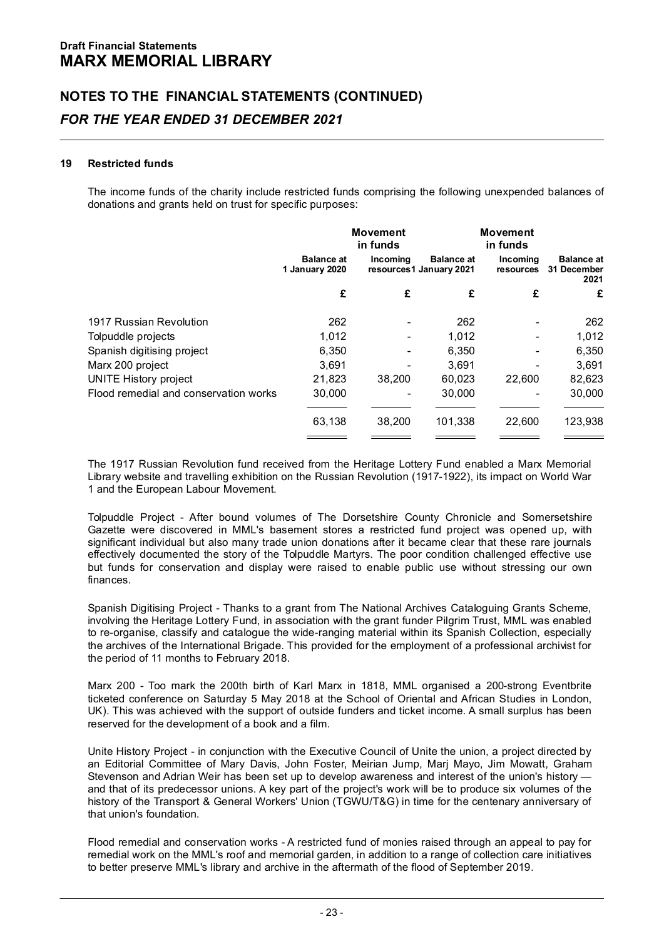# **19 Restricted funds**

The income funds of the charity include restricted funds comprising the following unexpended balances of donations and grants held on trust for specific purposes:

|                                       |                              | Movement<br>in funds     |                                              | <b>Movement</b><br>in funds |                                          |
|---------------------------------------|------------------------------|--------------------------|----------------------------------------------|-----------------------------|------------------------------------------|
|                                       | Balance at<br>1 January 2020 | Incomina                 | <b>Balance</b> at<br>resources1 January 2021 | Incomina<br>resources       | <b>Balance</b> at<br>31 December<br>2021 |
|                                       | £                            | £                        | £                                            | £                           | £                                        |
| 1917 Russian Revolution               | 262                          | ٠                        | 262                                          |                             | 262                                      |
| Tolpuddle projects                    | 1.012                        | ٠                        | 1.012                                        | ٠                           | 1.012                                    |
| Spanish digitising project            | 6.350                        | ٠                        | 6.350                                        |                             | 6.350                                    |
| Marx 200 project                      | 3.691                        | $\overline{\phantom{a}}$ | 3.691                                        | ۰                           | 3.691                                    |
| <b>UNITE History project</b>          | 21.823                       | 38.200                   | 60.023                                       | 22.600                      | 82,623                                   |
| Flood remedial and conservation works | 30.000                       | ٠                        | 30,000                                       | ۰                           | 30,000                                   |
|                                       | 63.138                       | 38.200                   | 101.338                                      | 22,600                      | 123.938                                  |
|                                       |                              |                          |                                              |                             |                                          |

The 1917 Russian Revolution fund received from the Heritage Lottery Fund enabled a Marx Memorial Library website and travelling exhibition on the Russian Revolution (1917-1922), its impact on World War 1 and the European Labour Movement.

Tolpuddle Project - After bound volumes of The Dorsetshire County Chronicle and Somersetshire Gazette were discovered in MML's basement stores a restricted fund project was opened up, with significant individual but also many trade union donations after it became clear that these rare journals effectively documented the story of the Tolpuddle Martyrs. The poor condition challenged effective use<br>but funds for conservation and display were raised to enable public use without stressing our own finances.

Spanish Digitising Project - Thanks to a grant from The National Archives Cataloguing Grants Scheme, involving the Heritage Lottery Fund, in association with the grant funder Pilgrim Trust, MML was enabled to re-organise, classify and catalogue the wide-ranging material within its Spanish Collection, especially the archives of the International Brigade. This provided for the employment of a professional archivist for the period of 11 months to February 2018.

Marx 200 - Too mark the 200th birth of Karl Marx in 1818, MML organised a 200-strong Eventbrite ticketed conference on Saturday 5 May 2018 at the School of Oriental and African Studies in London, UK). This was achieved with the support of outside funders and ticket income. A small surplus has been reserved for the development of a book and a film.

Unite History Project - in conjunction with the Executive Council of Unite the union, a project directed by an Editorial Committee of Mary Davis, John Foster, Meirian Jump, Marj Mayo, Jim Mowatt, Graham Stevenson and Adrian Weir has been set up to develop awareness and interest of the union's history —<br>and that of its predecessor unions. A key part of the project's work will be to produce six volumes of the history of the Transport & General Workers' Union (TGWU/T&G) in time for the centenary anniversary of that union's foundation.

Flood remedial and conservation works - A restricted fund of monies raised through an appeal to pay for remedial work on the MML's roof and memorial garden, in addition to a range of collection care initiatives to better preserve MML's library and archive in the aftermath of the flood of September 2019.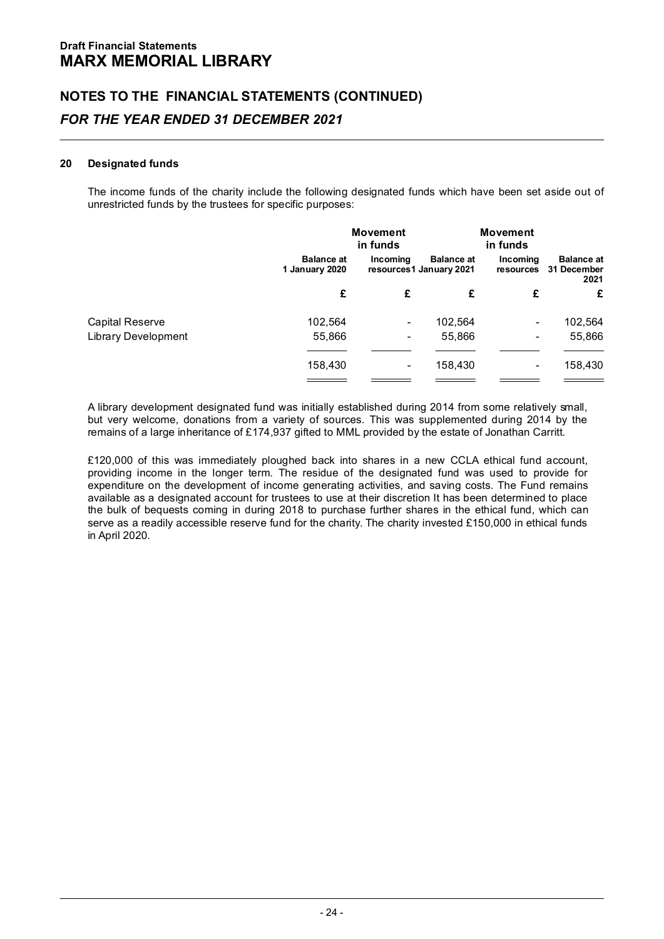# **20 Designated funds**

The income funds of the charity include the following designated funds which have been set aside out of unrestricted funds by the trustees for specific purposes:

|                            |                              | Movement<br>in funds     |                                              | <b>Movement</b><br>in funds |                                          |
|----------------------------|------------------------------|--------------------------|----------------------------------------------|-----------------------------|------------------------------------------|
|                            | Balance at<br>1 January 2020 | Incomina                 | <b>Balance</b> at<br>resources1 January 2021 | Incomina<br>resources       | <b>Balance</b> at<br>31 December<br>2021 |
|                            | £                            | £                        | £                                            | £                           | £                                        |
| Capital Reserve            | 102.564                      | ٠                        | 102.564                                      | ٠                           | 102.564                                  |
| <b>Library Development</b> | 55,866                       | $\overline{\phantom{a}}$ | 55,866                                       | ٠                           | 55.866                                   |
|                            |                              |                          |                                              |                             |                                          |
|                            | 158,430                      | ٠                        | 158.430                                      | ٠                           | 158.430                                  |
|                            |                              |                          |                                              |                             |                                          |

A library development designated fund was initially established during 2014 from some relatively small, but very welcome, donations from a variety of sources. This was supplemented during 2014 by the remains of a large inheritance of £174,937 gifted to MML provided by the estate of Jonathan Carritt.

£120,000 of this was immediately ploughed back into shares in a new CCLA ethical fund account. providing income in the longer term. The residue of the designated fund was used to provide for expenditure on the development of income generating activities, and saving costs. The Fund remains available as a designated account for trustees to use at their discretion It has been determined to place the bulk of bequests coming in during 2018 to purchase further shares in the ethical fund, which can serve as a readily accessible reserve fund for the charity. The charity invested £150,000 in ethical funds in April 2020.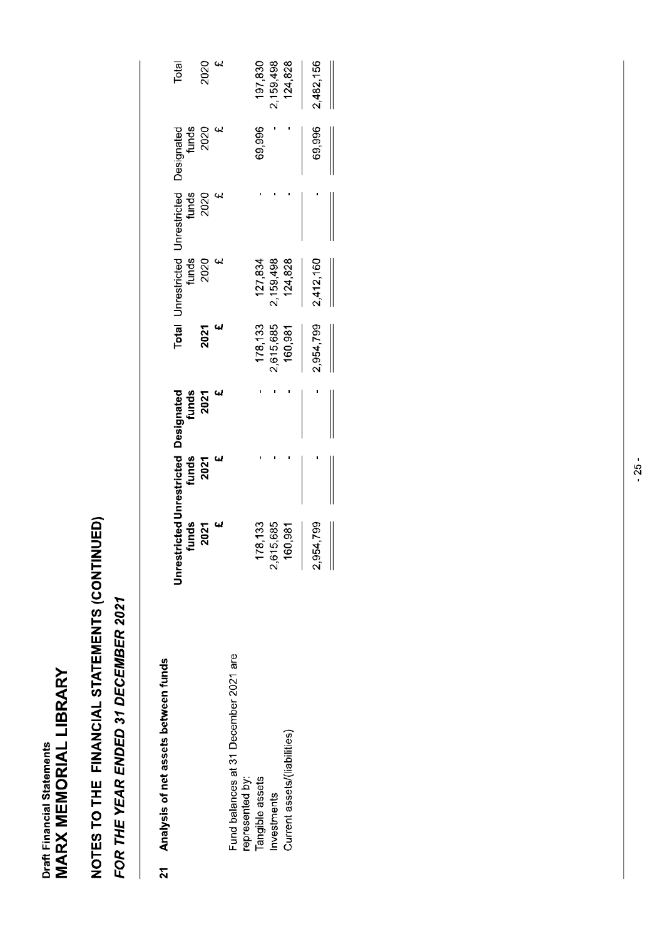# NOTES TO THE FINANCIAL STATEMENTS (CONTINUED)

# FOR THE YEAR ENDED 31 DECEMBER 2021

# 21 Analysis of net assets between funds

|                                       |           |  |                      |                      |                                                                                                             |        | Total      |
|---------------------------------------|-----------|--|----------------------|----------------------|-------------------------------------------------------------------------------------------------------------|--------|------------|
|                                       |           |  |                      |                      |                                                                                                             |        |            |
|                                       |           |  |                      |                      | Total Unrestricted Drivestricted Designated<br>funds Munds<br>2021 2020 2020<br>2020 2020 2020<br>2020 2020 |        | 2020<br>20 |
|                                       |           |  |                      |                      |                                                                                                             |        |            |
| Fund balances at 31 December 2021 are |           |  |                      |                      |                                                                                                             |        |            |
| represented by:                       |           |  |                      |                      |                                                                                                             |        |            |
| Tangible assets                       | 178,133   |  | 178,133              | 127,834              |                                                                                                             | 69,996 | 197,830    |
| Investments                           | 2,615,685 |  |                      |                      |                                                                                                             |        | 2,159,498  |
| Current assets/(liabilities)          | 160,981   |  | 2,615,685<br>160,981 | 2,159,498<br>124,828 |                                                                                                             |        | 124,828    |
|                                       | 2,954,799 |  | 2,954,799            | 2,412,160            |                                                                                                             | 69,996 | 2,482,156  |
|                                       |           |  |                      |                      |                                                                                                             |        |            |